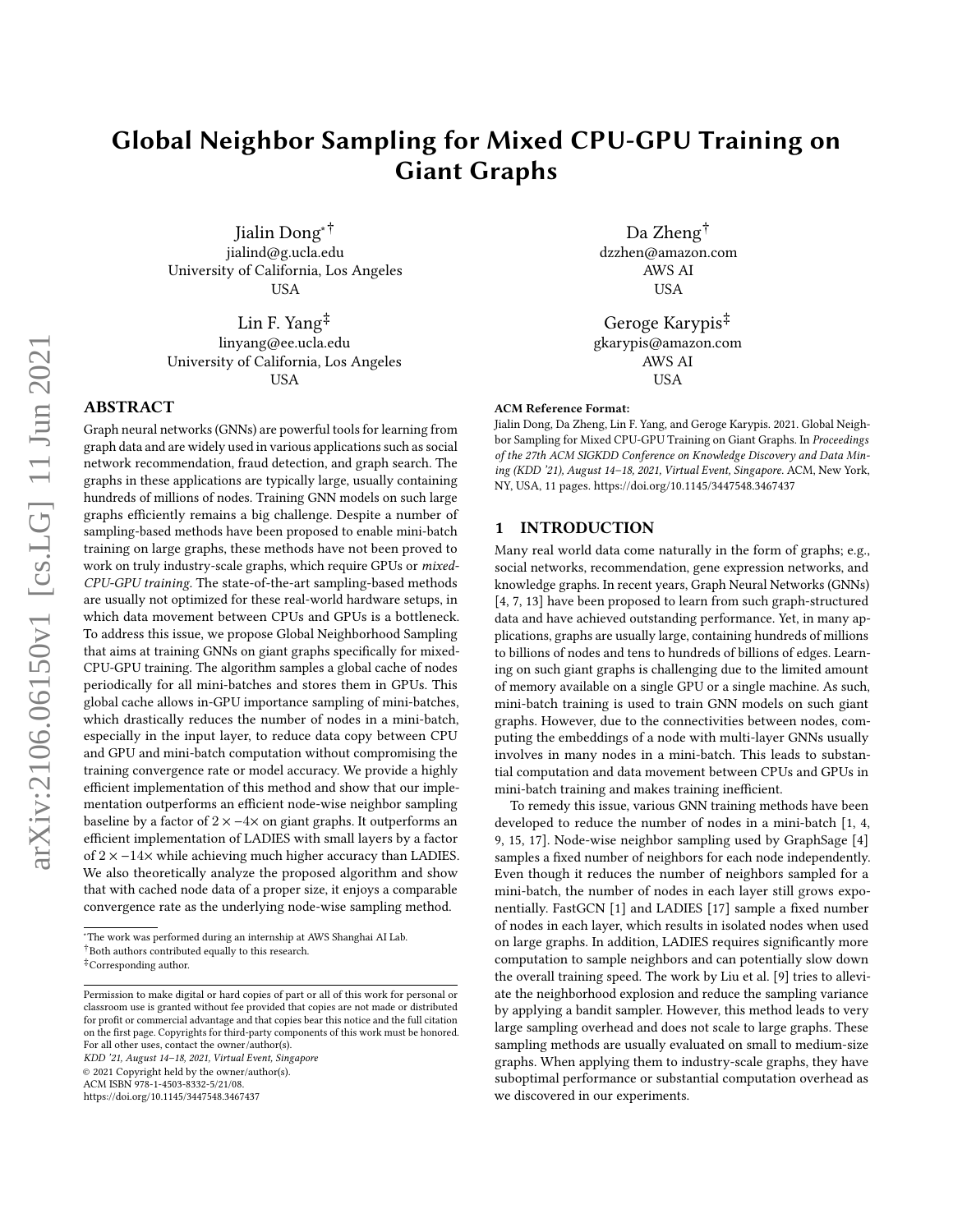# Global Neighbor Sampling for Mixed CPU-GPU Training on Giant Graphs

Jialin Dong∗† jialind@g.ucla.edu University of California, Los Angeles USA

Lin F. Yang‡ linyang@ee.ucla.edu University of California, Los Angeles USA

## ABSTRACT

Graph neural networks (GNNs) are powerful tools for learning from graph data and are widely used in various applications such as social network recommendation, fraud detection, and graph search. The graphs in these applications are typically large, usually containing hundreds of millions of nodes. Training GNN models on such large graphs efficiently remains a big challenge. Despite a number of sampling-based methods have been proposed to enable mini-batch training on large graphs, these methods have not been proved to work on truly industry-scale graphs, which require GPUs or mixed-CPU-GPU training. The state-of-the-art sampling-based methods are usually not optimized for these real-world hardware setups, in which data movement between CPUs and GPUs is a bottleneck. To address this issue, we propose Global Neighborhood Sampling that aims at training GNNs on giant graphs specifically for mixed-CPU-GPU training. The algorithm samples a global cache of nodes periodically for all mini-batches and stores them in GPUs. This global cache allows in-GPU importance sampling of mini-batches, which drastically reduces the number of nodes in a mini-batch, especially in the input layer, to reduce data copy between CPU and GPU and mini-batch computation without compromising the training convergence rate or model accuracy. We provide a highly efficient implementation of this method and show that our implementation outperforms an efficient node-wise neighbor sampling baseline by a factor of  $2 \times -4 \times$  on giant graphs. It outperforms an efficient implementation of LADIES with small layers by a factor of 2 × −14× while achieving much higher accuracy than LADIES. We also theoretically analyze the proposed algorithm and show that with cached node data of a proper size, it enjoys a comparable convergence rate as the underlying node-wise sampling method.

KDD '21, August 14–18, 2021, Virtual Event, Singapore

© 2021 Copyright held by the owner/author(s).

<https://doi.org/10.1145/3447548.3467437>

Da Zheng† dzzhen@amazon.com AWS AI USA

Geroge Karypis‡ gkarypis@amazon.com AWS AI USA

#### ACM Reference Format:

Jialin Dong, Da Zheng, Lin F. Yang, and Geroge Karypis. 2021. Global Neighbor Sampling for Mixed CPU-GPU Training on Giant Graphs. In Proceedings of the 27th ACM SIGKDD Conference on Knowledge Discovery and Data Mining (KDD '21), August 14–18, 2021, Virtual Event, Singapore. ACM, New York, NY, USA, [11](#page-10-0) pages.<https://doi.org/10.1145/3447548.3467437>

### 1 INTRODUCTION

Many real world data come naturally in the form of graphs; e.g., social networks, recommendation, gene expression networks, and knowledge graphs. In recent years, Graph Neural Networks (GNNs) [\[4,](#page-8-0) [7,](#page-8-1) [13\]](#page-8-2) have been proposed to learn from such graph-structured data and have achieved outstanding performance. Yet, in many applications, graphs are usually large, containing hundreds of millions to billions of nodes and tens to hundreds of billions of edges. Learning on such giant graphs is challenging due to the limited amount of memory available on a single GPU or a single machine. As such, mini-batch training is used to train GNN models on such giant graphs. However, due to the connectivities between nodes, computing the embeddings of a node with multi-layer GNNs usually involves in many nodes in a mini-batch. This leads to substantial computation and data movement between CPUs and GPUs in mini-batch training and makes training inefficient.

To remedy this issue, various GNN training methods have been developed to reduce the number of nodes in a mini-batch [\[1,](#page-8-3) [4,](#page-8-0) [9,](#page-8-4) [15,](#page-8-5) [17\]](#page-8-6). Node-wise neighbor sampling used by GraphSage [\[4\]](#page-8-0) samples a fixed number of neighbors for each node independently. Even though it reduces the number of neighbors sampled for a mini-batch, the number of nodes in each layer still grows exponentially. FastGCN [\[1\]](#page-8-3) and LADIES [\[17\]](#page-8-6) sample a fixed number of nodes in each layer, which results in isolated nodes when used on large graphs. In addition, LADIES requires significantly more computation to sample neighbors and can potentially slow down the overall training speed. The work by Liu et al. [\[9\]](#page-8-4) tries to alleviate the neighborhood explosion and reduce the sampling variance by applying a bandit sampler. However, this method leads to very large sampling overhead and does not scale to large graphs. These sampling methods are usually evaluated on small to medium-size graphs. When applying them to industry-scale graphs, they have suboptimal performance or substantial computation overhead as we discovered in our experiments.

<sup>∗</sup>The work was performed during an internship at AWS Shanghai AI Lab.

 $^\dagger$  Both authors contributed equally to this research.

<sup>‡</sup>Corresponding author.

Permission to make digital or hard copies of part or all of this work for personal or classroom use is granted without fee provided that copies are not made or distributed for profit or commercial advantage and that copies bear this notice and the full citation on the first page. Copyrights for third-party components of this work must be honored. For all other uses, contact the owner/author(s).

ACM ISBN 978-1-4503-8332-5/21/08.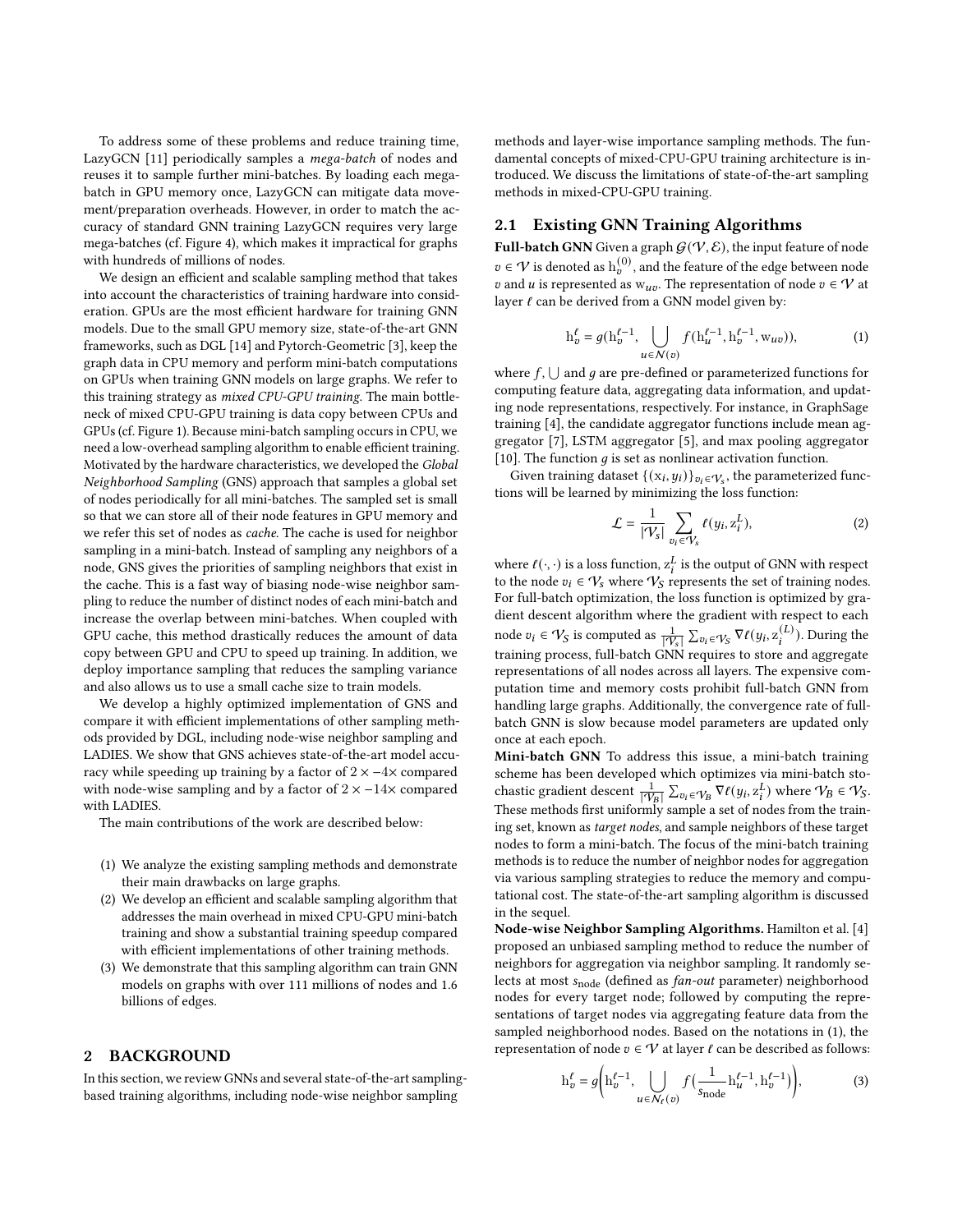To address some of these problems and reduce training time, LazyGCN [\[11\]](#page-8-7) periodically samples a mega-batch of nodes and reuses it to sample further mini-batches. By loading each megabatch in GPU memory once, LazyGCN can mitigate data movement/preparation overheads. However, in order to match the accuracy of standard GNN training LazyGCN requires very large mega-batches (cf. Figure [4\)](#page-8-8), which makes it impractical for graphs with hundreds of millions of nodes.

We design an efficient and scalable sampling method that takes into account the characteristics of training hardware into consideration. GPUs are the most efficient hardware for training GNN models. Due to the small GPU memory size, state-of-the-art GNN frameworks, such as DGL [\[14\]](#page-8-9) and Pytorch-Geometric [\[3\]](#page-8-10), keep the graph data in CPU memory and perform mini-batch computations on GPUs when training GNN models on large graphs. We refer to this training strategy as mixed CPU-GPU training. The main bottleneck of mixed CPU-GPU training is data copy between CPUs and GPUs (cf. Figure [1\)](#page-3-0). Because mini-batch sampling occurs in CPU, we need a low-overhead sampling algorithm to enable efficient training. Motivated by the hardware characteristics, we developed the Global Neighborhood Sampling (GNS) approach that samples a global set of nodes periodically for all mini-batches. The sampled set is small so that we can store all of their node features in GPU memory and we refer this set of nodes as cache. The cache is used for neighbor sampling in a mini-batch. Instead of sampling any neighbors of a node, GNS gives the priorities of sampling neighbors that exist in the cache. This is a fast way of biasing node-wise neighbor sampling to reduce the number of distinct nodes of each mini-batch and increase the overlap between mini-batches. When coupled with GPU cache, this method drastically reduces the amount of data copy between GPU and CPU to speed up training. In addition, we deploy importance sampling that reduces the sampling variance and also allows us to use a small cache size to train models.

We develop a highly optimized implementation of GNS and compare it with efficient implementations of other sampling methods provided by DGL, including node-wise neighbor sampling and LADIES. We show that GNS achieves state-of-the-art model accuracy while speeding up training by a factor of  $2 \times -4 \times$  compared with node-wise sampling and by a factor of  $2 \times -14 \times$  compared with LADIES.

The main contributions of the work are described below:

- (1) We analyze the existing sampling methods and demonstrate their main drawbacks on large graphs.
- (2) We develop an efficient and scalable sampling algorithm that addresses the main overhead in mixed CPU-GPU mini-batch training and show a substantial training speedup compared with efficient implementations of other training methods.
- (3) We demonstrate that this sampling algorithm can train GNN models on graphs with over 111 millions of nodes and 1.6 billions of edges.

#### 2 BACKGROUND

In this section, we review GNNs and several state-of-the-art samplingbased training algorithms, including node-wise neighbor sampling

methods and layer-wise importance sampling methods. The fundamental concepts of mixed-CPU-GPU training architecture is introduced. We discuss the limitations of state-of-the-art sampling methods in mixed-CPU-GPU training.

## 2.1 Existing GNN Training Algorithms

Full-batch GNN Given a graph  $\mathcal{G}(\mathcal{V},\mathcal{E}),$  the input feature of node  $v \in \mathcal{V}$  is denoted as  $\mathrm{h}^{(0)}_v$  , and the feature of the edge between node v and u is represented as  $w_{uv}$ . The representation of node  $v \in V$  at layer  $\ell$  can be derived from a GNN model given by:

<span id="page-1-0"></span>
$$
h_v^{\ell} = g(h_v^{\ell-1}, \bigcup_{u \in N(v)} f(h_u^{\ell-1}, h_v^{\ell-1}, w_{uv})),
$$
 (1)

where  $f$ ,  $\bigcup$  and  $g$  are pre-defined or parameterized functions for computing feature data, aggregating data information, and updating node representations, respectively. For instance, in GraphSage training [\[4\]](#page-8-0), the candidate aggregator functions include mean aggregator [\[7\]](#page-8-1), LSTM aggregator [\[5\]](#page-8-11), and max pooling aggregator [\[10\]](#page-8-12). The function  $g$  is set as nonlinear activation function.

Given training dataset  $\{(x_i, y_i)\}_{v_i \in \mathcal{V}_s}$ , the parameterized functions will be learned by minimizing the loss function:

$$
\mathcal{L} = \frac{1}{|\mathcal{V}_s|} \sum_{v_i \in \mathcal{V}_s} \ell(y_i, z_i^L),\tag{2}
$$

where  $\ell(\cdot, \cdot)$  is a loss function,  $z_i^L$  is the output of GNN with respect to the node  $v_i \in V_s$  where  $V_s$  represents the set of training nodes. For full-batch optimization, the loss function is optimized by gradient descent algorithm where the gradient with respect to each node  $v_i \in V_S$  is computed as  $\frac{1}{|V_s|} \sum_{v_i \in V_S} \nabla \ell(y_i, z_i^{(L)})$ . During the training process, full-batch GNN requires to store and aggregate representations of all nodes across all layers. The expensive computation time and memory costs prohibit full-batch GNN from handling large graphs. Additionally, the convergence rate of fullbatch GNN is slow because model parameters are updated only once at each epoch.

Mini-batch GNN To address this issue, a mini-batch training scheme has been developed which optimizes via mini-batch stochastic gradient descent  $\frac{1}{|\mathcal{V}_B|} \sum_{v_i \in \mathcal{V}_B} \nabla \ell(y_i, z_i^L)$  where  $\mathcal{V}_B \in \mathcal{V}_S$ . These methods first uniformly sample a set of nodes from the training set, known as target nodes, and sample neighbors of these target nodes to form a mini-batch. The focus of the mini-batch training methods is to reduce the number of neighbor nodes for aggregation via various sampling strategies to reduce the memory and computational cost. The state-of-the-art sampling algorithm is discussed in the sequel.

Node-wise Neighbor Sampling Algorithms. Hamilton et al. [\[4\]](#page-8-0) proposed an unbiased sampling method to reduce the number of neighbors for aggregation via neighbor sampling. It randomly selects at most s<sub>node</sub> (defined as *fan-out* parameter) neighborhood nodes for every target node; followed by computing the representations of target nodes via aggregating feature data from the sampled neighborhood nodes. Based on the notations in [\(1\)](#page-1-0), the representation of node  $v \in V$  at layer  $\ell$  can be described as follows:

$$
h_v^{\ell} = g\bigg(h_v^{\ell-1}, \bigcup_{u \in N_{\ell}(v)} f\big(\frac{1}{s_{\text{node}}} h_u^{\ell-1}, h_v^{\ell-1}\big)\bigg),\tag{3}
$$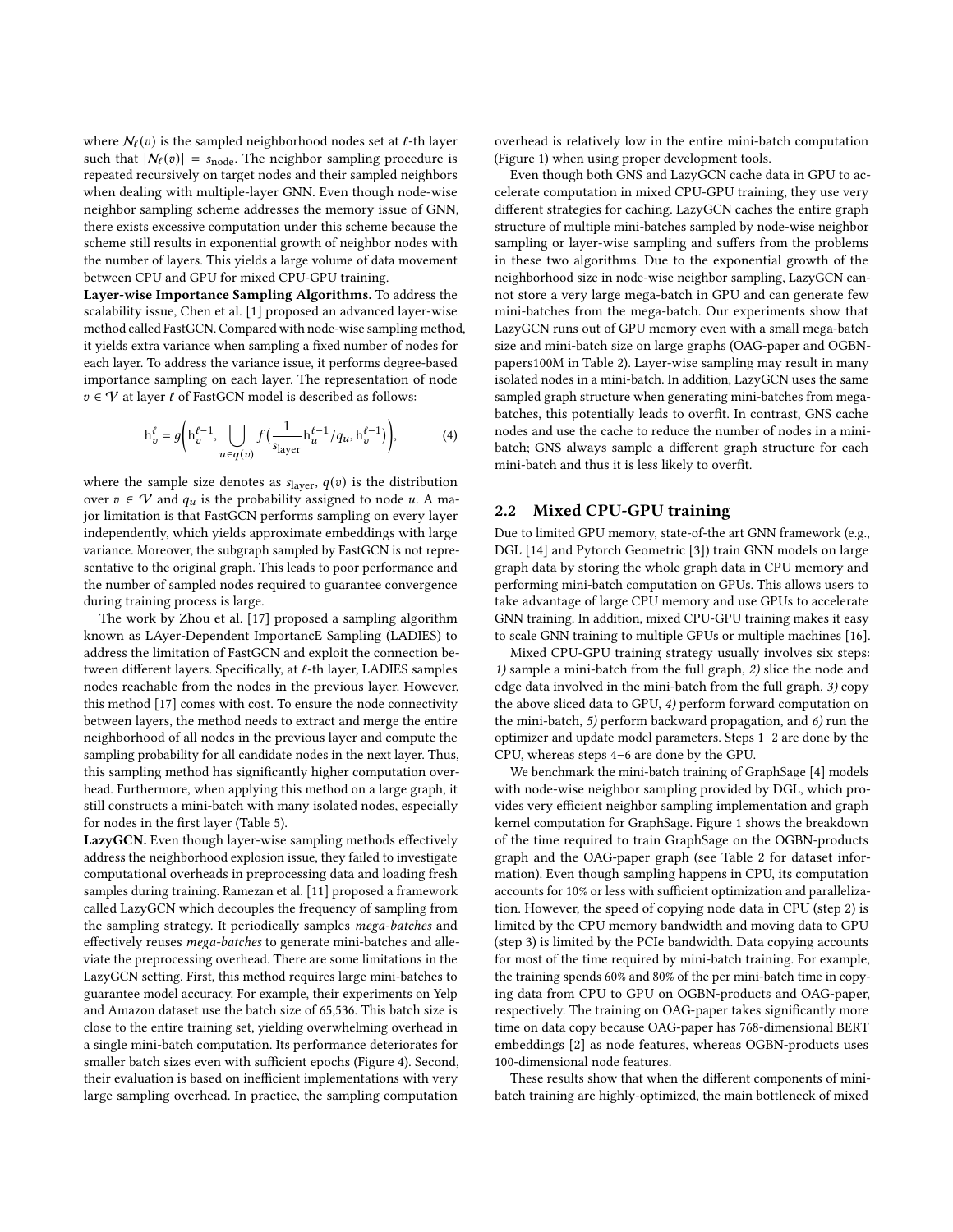where  $N_{\ell}(v)$  is the sampled neighborhood nodes set at  $\ell$ -th layer such that  $|N_f(v)| = s_{\text{node}}$ . The neighbor sampling procedure is repeated recursively on target nodes and their sampled neighbors when dealing with multiple-layer GNN. Even though node-wise neighbor sampling scheme addresses the memory issue of GNN, there exists excessive computation under this scheme because the scheme still results in exponential growth of neighbor nodes with the number of layers. This yields a large volume of data movement between CPU and GPU for mixed CPU-GPU training.

Layer-wise Importance Sampling Algorithms. To address the scalability issue, Chen et al. [\[1\]](#page-8-3) proposed an advanced layer-wise method called FastGCN. Compared with node-wise sampling method, it yields extra variance when sampling a fixed number of nodes for each layer. To address the variance issue, it performs degree-based importance sampling on each layer. The representation of node  $v \in V$  at layer  $\ell$  of FastGCN model is described as follows:

$$
\mathbf{h}_v^{\ell} = g\bigg(\mathbf{h}_v^{\ell-1}, \bigcup_{u \in q(v)} f\big(\frac{1}{\mathbf{s}_{\text{layer}}} \mathbf{h}_u^{\ell-1} / q_u, \mathbf{h}_v^{\ell-1}\big)\bigg),\tag{4}
$$

where the sample size denotes as  $s_{layer}$ ,  $q(v)$  is the distribution over  $v \in V$  and  $q_u$  is the probability assigned to node u. A major limitation is that FastGCN performs sampling on every layer independently, which yields approximate embeddings with large variance. Moreover, the subgraph sampled by FastGCN is not representative to the original graph. This leads to poor performance and the number of sampled nodes required to guarantee convergence during training process is large.

The work by Zhou et al. [\[17\]](#page-8-6) proposed a sampling algorithm known as LAyer-Dependent ImportancE Sampling (LADIES) to address the limitation of FastGCN and exploit the connection between different layers. Specifically, at ℓ-th layer, LADIES samples nodes reachable from the nodes in the previous layer. However, this method [\[17\]](#page-8-6) comes with cost. To ensure the node connectivity between layers, the method needs to extract and merge the entire neighborhood of all nodes in the previous layer and compute the sampling probability for all candidate nodes in the next layer. Thus, this sampling method has significantly higher computation overhead. Furthermore, when applying this method on a large graph, it still constructs a mini-batch with many isolated nodes, especially for nodes in the first layer (Table [5\)](#page-7-0).

LazyGCN. Even though layer-wise sampling methods effectively address the neighborhood explosion issue, they failed to investigate computational overheads in preprocessing data and loading fresh samples during training. Ramezan et al. [\[11\]](#page-8-7) proposed a framework called LazyGCN which decouples the frequency of sampling from the sampling strategy. It periodically samples mega-batches and effectively reuses mega-batches to generate mini-batches and alleviate the preprocessing overhead. There are some limitations in the LazyGCN setting. First, this method requires large mini-batches to guarantee model accuracy. For example, their experiments on Yelp and Amazon dataset use the batch size of 65,536. This batch size is close to the entire training set, yielding overwhelming overhead in a single mini-batch computation. Its performance deteriorates for smaller batch sizes even with sufficient epochs (Figure [4\)](#page-8-8). Second, their evaluation is based on inefficient implementations with very large sampling overhead. In practice, the sampling computation

overhead is relatively low in the entire mini-batch computation (Figure [1\)](#page-3-0) when using proper development tools.

Even though both GNS and LazyGCN cache data in GPU to accelerate computation in mixed CPU-GPU training, they use very different strategies for caching. LazyGCN caches the entire graph structure of multiple mini-batches sampled by node-wise neighbor sampling or layer-wise sampling and suffers from the problems in these two algorithms. Due to the exponential growth of the neighborhood size in node-wise neighbor sampling, LazyGCN cannot store a very large mega-batch in GPU and can generate few mini-batches from the mega-batch. Our experiments show that LazyGCN runs out of GPU memory even with a small mega-batch size and mini-batch size on large graphs (OAG-paper and OGBNpapers100M in Table [2\)](#page-7-1). Layer-wise sampling may result in many isolated nodes in a mini-batch. In addition, LazyGCN uses the same sampled graph structure when generating mini-batches from megabatches, this potentially leads to overfit. In contrast, GNS cache nodes and use the cache to reduce the number of nodes in a minibatch; GNS always sample a different graph structure for each mini-batch and thus it is less likely to overfit.

## 2.2 Mixed CPU-GPU training

Due to limited GPU memory, state-of-the art GNN framework (e.g., DGL [\[14\]](#page-8-9) and Pytorch Geometric [\[3\]](#page-8-10)) train GNN models on large graph data by storing the whole graph data in CPU memory and performing mini-batch computation on GPUs. This allows users to take advantage of large CPU memory and use GPUs to accelerate GNN training. In addition, mixed CPU-GPU training makes it easy to scale GNN training to multiple GPUs or multiple machines [\[16\]](#page-8-13).

Mixed CPU-GPU training strategy usually involves six steps: 1) sample a mini-batch from the full graph, 2) slice the node and edge data involved in the mini-batch from the full graph, 3) copy the above sliced data to GPU, 4) perform forward computation on the mini-batch, 5) perform backward propagation, and 6) run the optimizer and update model parameters. Steps 1–2 are done by the CPU, whereas steps 4–6 are done by the GPU.

We benchmark the mini-batch training of GraphSage [\[4\]](#page-8-0) models with node-wise neighbor sampling provided by DGL, which provides very efficient neighbor sampling implementation and graph kernel computation for GraphSage. Figure [1](#page-3-0) shows the breakdown of the time required to train GraphSage on the OGBN-products graph and the OAG-paper graph (see Table [2](#page-7-1) for dataset information). Even though sampling happens in CPU, its computation accounts for 10% or less with sufficient optimization and parallelization. However, the speed of copying node data in CPU (step 2) is limited by the CPU memory bandwidth and moving data to GPU (step 3) is limited by the PCIe bandwidth. Data copying accounts for most of the time required by mini-batch training. For example, the training spends 60% and 80% of the per mini-batch time in copying data from CPU to GPU on OGBN-products and OAG-paper, respectively. The training on OAG-paper takes significantly more time on data copy because OAG-paper has 768-dimensional BERT embeddings [\[2\]](#page-8-14) as node features, whereas OGBN-products uses 100-dimensional node features.

These results show that when the different components of minibatch training are highly-optimized, the main bottleneck of mixed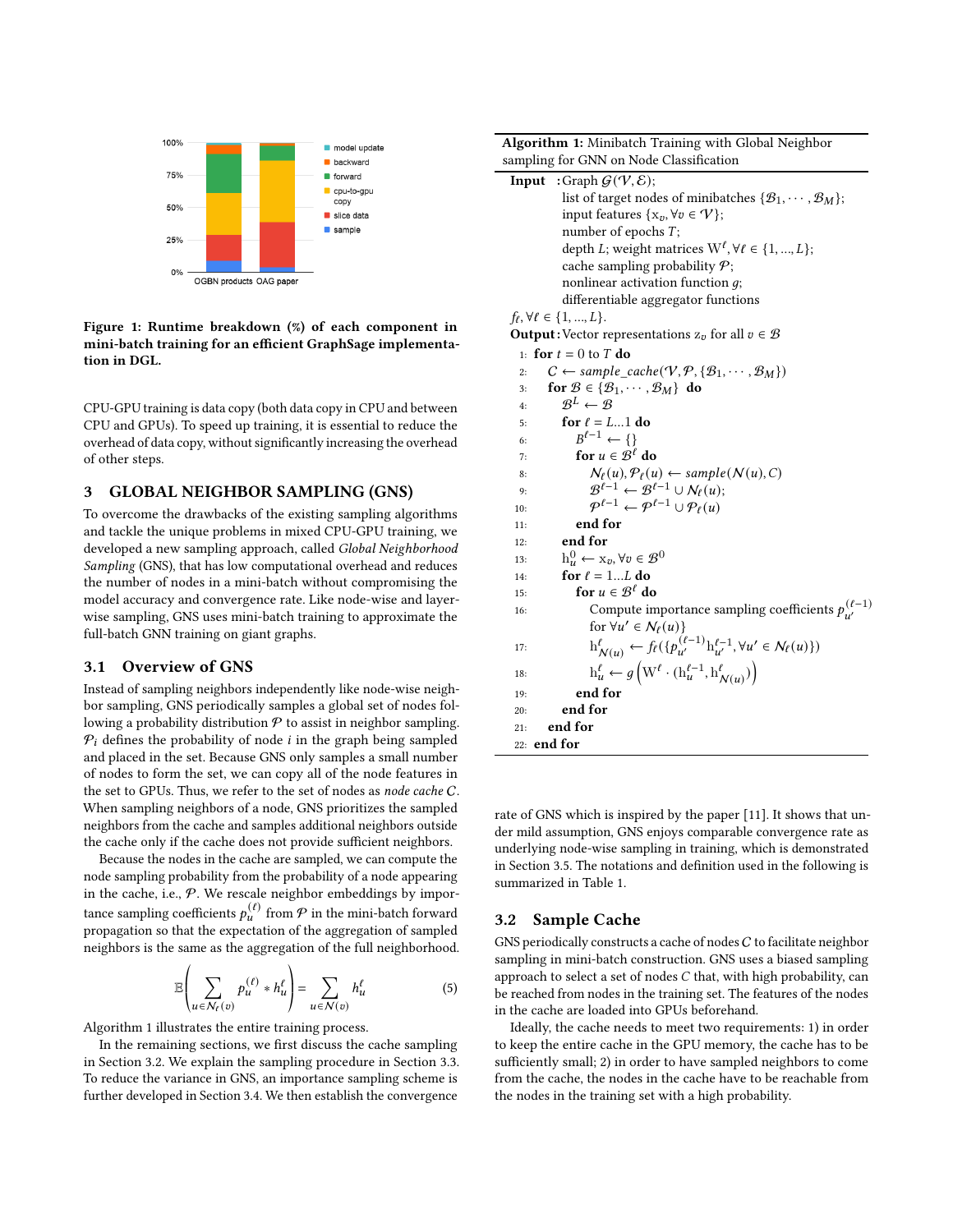<span id="page-3-0"></span>

#### Figure 1: Runtime breakdown (%) of each component in mini-batch training for an efficient GraphSage implementation in DGL.

CPU-GPU training is data copy (both data copy in CPU and between CPU and GPUs). To speed up training, it is essential to reduce the overhead of data copy, without significantly increasing the overhead of other steps.

## 3 GLOBAL NEIGHBOR SAMPLING (GNS)

To overcome the drawbacks of the existing sampling algorithms and tackle the unique problems in mixed CPU-GPU training, we developed a new sampling approach, called Global Neighborhood Sampling (GNS), that has low computational overhead and reduces the number of nodes in a mini-batch without compromising the model accuracy and convergence rate. Like node-wise and layerwise sampling, GNS uses mini-batch training to approximate the full-batch GNN training on giant graphs.

## 3.1 Overview of GNS

Instead of sampling neighbors independently like node-wise neighbor sampling, GNS periodically samples a global set of nodes following a probability distribution  $P$  to assist in neighbor sampling.  $P_i$  defines the probability of node *i* in the graph being sampled and placed in the set. Because GNS only samples a small number of nodes to form the set, we can copy all of the node features in the set to GPUs. Thus, we refer to the set of nodes as node cache C. When sampling neighbors of a node, GNS prioritizes the sampled neighbors from the cache and samples additional neighbors outside the cache only if the cache does not provide sufficient neighbors.

Because the nodes in the cache are sampled, we can compute the node sampling probability from the probability of a node appearing in the cache, i.e.,  $P$ . We rescale neighbor embeddings by importance sampling coefficients  $p_u^{(\ell)}$  from  $\mathcal P$  in the mini-batch forward propagation so that the expectation of the aggregation of sampled neighbors is the same as the aggregation of the full neighborhood.

$$
\mathbb{E}\left(\sum_{u\in\mathcal{N}_{\ell}(v)}p_{u}^{(\ell)}\ast h_{u}^{\ell}\right)=\sum_{u\in\mathcal{N}(v)}h_{u}^{\ell}\tag{5}
$$

« ¬ Algorithm [1](#page-3-1) illustrates the entire training process.

In the remaining sections, we first discuss the cache sampling in Section [3.2.](#page-3-2) We explain the sampling procedure in Section [3.3.](#page-4-0) To reduce the variance in GNS, an importance sampling scheme is further developed in Section [3.4.](#page-4-1) We then establish the convergence

<span id="page-3-1"></span>

| Algorithm 1: Minibatch Training with Global Neighbor                                                                      |
|---------------------------------------------------------------------------------------------------------------------------|
| sampling for GNN on Node Classification                                                                                   |
| <b>Input</b> :Graph $G(V, \mathcal{E})$ ;                                                                                 |
| list of target nodes of minibatches $\{\mathcal{B}_1, \cdots, \mathcal{B}_M\};$                                           |
| input features { $x_v, \forall v \in \mathcal{V}$ };                                                                      |
| number of epochs $T$ ;                                                                                                    |
| depth L; weight matrices $W^{\ell}$ , $\forall \ell \in \{1, , L\}$ ;                                                     |
| cache sampling probability $P$ ;                                                                                          |
| nonlinear activation function $q$ ;                                                                                       |
| differentiable aggregator functions                                                                                       |
| $f_{\ell}, \forall \ell \in \{1, , L\}.$                                                                                  |
| <b>Output:</b> Vector representations $z_v$ for all $v \in \mathcal{B}$                                                   |
| 1: for $t = 0$ to T do                                                                                                    |
| $C \leftarrow sample\_cache(\mathcal{V}, \mathcal{P}, \{\mathcal{B}_1, \cdots, \mathcal{B}_M\})$<br>2:                    |
| for $\mathcal{B} \in \{\mathcal{B}_1, \cdots, \mathcal{B}_M\}$ do<br>3:                                                   |
| $\mathcal{R}^L \leftarrow \mathcal{R}$<br>4:                                                                              |
| for $\ell = L1$ do<br>5:                                                                                                  |
| $B^{\ell-1} \leftarrow \{\}$<br>6:                                                                                        |
| for $u \in \mathcal{B}^{\ell}$ do<br>7:                                                                                   |
| $\mathcal{N}_{\ell}(u), \mathcal{P}_{\ell}(u) \leftarrow sample(\mathcal{N}(u), C)$<br>8:                                 |
| $\mathcal{B}^{\ell-1} \leftarrow \mathcal{B}^{\ell-1} \cup \mathcal{N}_{\ell}(u);$<br>9:                                  |
| $\mathcal{P}^{\ell-1} \leftarrow \mathcal{P}^{\ell-1} \cup \mathcal{P}_{\ell}(u)$<br>10:                                  |
| end for<br>11:                                                                                                            |
| end for<br>12:                                                                                                            |
| $h_u^0 \leftarrow x_v, \forall v \in \mathcal{B}^0$<br>13:                                                                |
| for $\ell = 1L$ do<br>14:                                                                                                 |
| for $u \in \mathcal{B}^{\ell}$ do<br>15:                                                                                  |
| Compute importance sampling coefficients $p_{n'}^{(\ell-1)}$<br>16:                                                       |
| for $\forall u' \in \mathcal{N}_{\ell}(u)$                                                                                |
| $h^{\ell}_{N(u)} \leftarrow f_{\ell}(\{p_{u'}^{(\ell-1)}\}_{u'}^{\ell-1}, \forall u' \in \mathcal{N}_{\ell}(u)\})$<br>17: |
| $h_u^{\ell} \leftarrow g\left(W^{\ell} \cdot (h_u^{\ell-1}, h_{\mathcal{N}(u)}^{\ell})\right)$<br>18:                     |
| end for<br>19:                                                                                                            |
| end for<br>20:                                                                                                            |
| end for<br>21:                                                                                                            |
| 22: end for                                                                                                               |

rate of GNS which is inspired by the paper [\[11\]](#page-8-7). It shows that under mild assumption, GNS enjoys comparable convergence rate as underlying node-wise sampling in training, which is demonstrated in Section [3.5.](#page-5-0) The notations and definition used in the following is summarized in Table [1.](#page-4-2)

## <span id="page-3-2"></span>3.2 Sample Cache

GNS periodically constructs a cache of nodes  $C$  to facilitate neighbor sampling in mini-batch construction. GNS uses a biased sampling approach to select a set of nodes  $C$  that, with high probability, can be reached from nodes in the training set. The features of the nodes in the cache are loaded into GPUs beforehand.

Ideally, the cache needs to meet two requirements: 1) in order to keep the entire cache in the GPU memory, the cache has to be sufficiently small; 2) in order to have sampled neighbors to come from the cache, the nodes in the cache have to be reachable from the nodes in the training set with a high probability.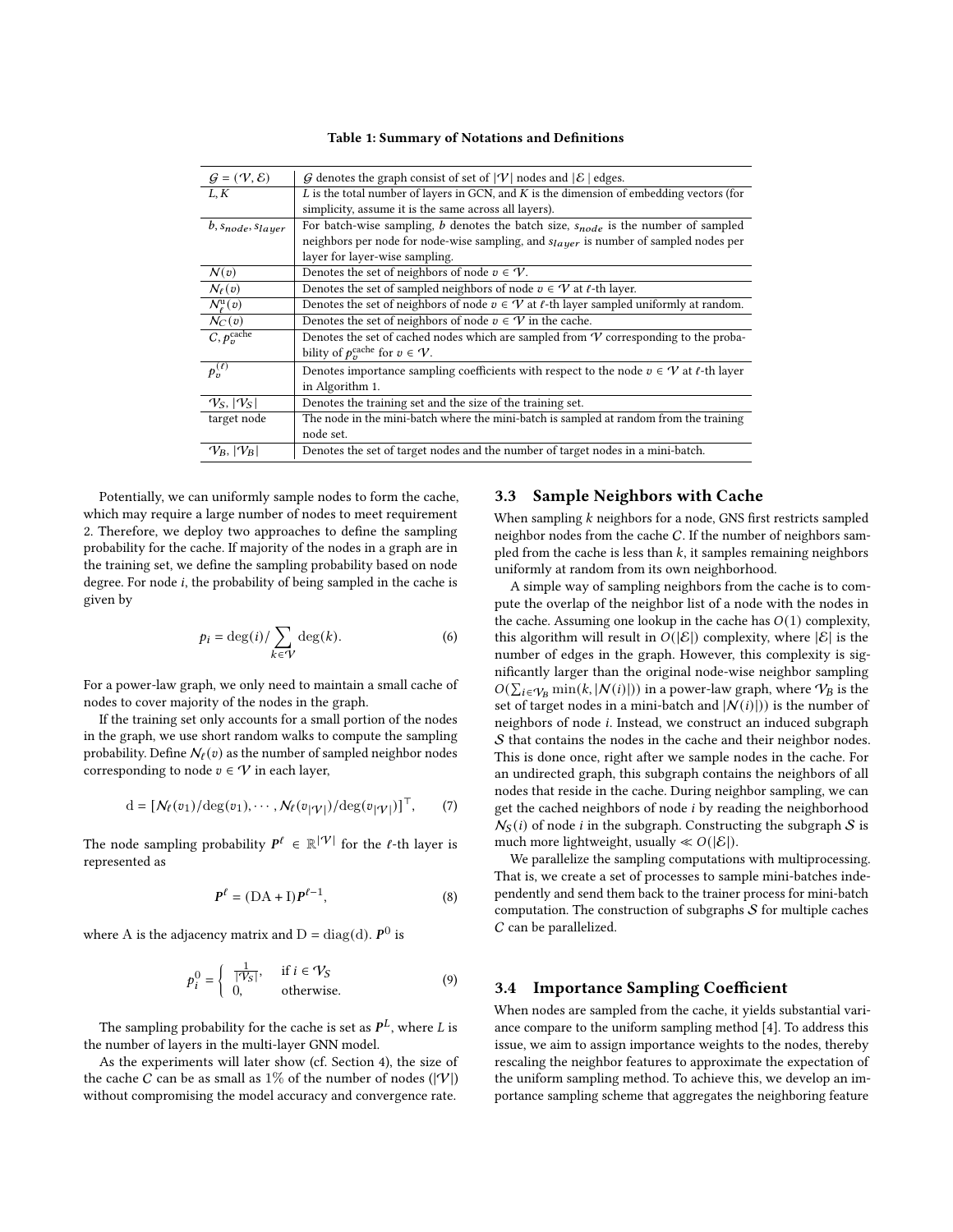|  |  |  |  | Table 1: Summary of Notations and Definitions |
|--|--|--|--|-----------------------------------------------|
|--|--|--|--|-----------------------------------------------|

<span id="page-4-2"></span>

| G denotes the graph consist of set of $ \mathcal{V} $ nodes and $ \mathcal{E} $ edges.          |
|-------------------------------------------------------------------------------------------------|
| $L$ is the total number of layers in GCN, and $K$ is the dimension of embedding vectors (for    |
| simplicity, assume it is the same across all layers).                                           |
| For batch-wise sampling, $b$ denotes the batch size, $s_{node}$ is the number of sampled        |
| neighbors per node for node-wise sampling, and $s_{layer}$ is number of sampled nodes per       |
| layer for layer-wise sampling.                                                                  |
| Denotes the set of neighbors of node $v \in \mathcal{V}$ .                                      |
| Denotes the set of sampled neighbors of node $v \in V$ at $\ell$ -th layer.                     |
| Denotes the set of neighbors of node $v \in V$ at $\ell$ -th layer sampled uniformly at random. |
| Denotes the set of neighbors of node $v \in V$ in the cache.                                    |
| Denotes the set of cached nodes which are sampled from $\mathcal V$ corresponding to the proba- |
| bility of $p_n^{\text{cache}}$ for $v \in \mathcal{V}$ .                                        |
| Denotes importance sampling coefficients with respect to the node $v \in V$ at $\ell$ -th layer |
| in Algorithm 1.                                                                                 |
| Denotes the training set and the size of the training set.                                      |
| The node in the mini-batch where the mini-batch is sampled at random from the training          |
| node set.                                                                                       |
| Denotes the set of target nodes and the number of target nodes in a mini-batch.                 |
|                                                                                                 |

Potentially, we can uniformly sample nodes to form the cache, which may require a large number of nodes to meet requirement 2. Therefore, we deploy two approaches to define the sampling probability for the cache. If majority of the nodes in a graph are in the training set, we define the sampling probability based on node degree. For node  $i$ , the probability of being sampled in the cache is given by

$$
p_i = \deg(i) / \sum_{k \in V} \deg(k).
$$
 (6)

For a power-law graph, we only need to maintain a small cache of nodes to cover majority of the nodes in the graph.

If the training set only accounts for a small portion of the nodes in the graph, we use short random walks to compute the sampling probability. Define  $N_{\ell}(v)$  as the number of sampled neighbor nodes corresponding to node  $v \in \mathcal{V}$  in each layer,

$$
\mathbf{d} = [N_{\ell}(v_1)/\mathrm{deg}(v_1), \cdots, N_{\ell}(v_{|\mathcal{V}|})/\mathrm{deg}(v_{|\mathcal{V}|})]^{\top}, \qquad (7)
$$

The node sampling probability  $P^{\ell} \in \mathbb{R}^{|\mathcal{V}|}$  for the  $\ell$ -th layer is represented as

$$
\boldsymbol{P}^{\ell} = (\mathbf{DA} + \mathbf{I})\boldsymbol{P}^{\ell-1},\tag{8}
$$

where A is the adjacency matrix and  $D = diag(d)$ .  $\bm{P}^0$  is

$$
p_i^0 = \begin{cases} \frac{1}{|\mathcal{V}_S|}, & \text{if } i \in \mathcal{V}_S \\ 0, & \text{otherwise.} \end{cases}
$$
 (9)

The sampling probability for the cache is set as  $\bm{P}^L$ , where  $L$  is the number of layers in the multi-layer GNN model.

As the experiments will later show (cf. Section [4\)](#page-6-0), the size of the cache C can be as small as  $1\%$  of the number of nodes ( $|V|$ ) without compromising the model accuracy and convergence rate.

## <span id="page-4-0"></span>3.3 Sample Neighbors with Cache

When sampling  $k$  neighbors for a node, GNS first restricts sampled neighbor nodes from the cache C. If the number of neighbors sampled from the cache is less than  $k$ , it samples remaining neighbors uniformly at random from its own neighborhood.

<span id="page-4-3"></span>A simple way of sampling neighbors from the cache is to compute the overlap of the neighbor list of a node with the nodes in the cache. Assuming one lookup in the cache has  $O(1)$  complexity, this algorithm will result in  $O(|\mathcal{E}|)$  complexity, where  $|\mathcal{E}|$  is the number of edges in the graph. However, this complexity is significantly larger than the original node-wise neighbor sampling  $O(\sum_{i \in V_B} \min(k, |N(i)|))$  in a power-law graph, where  $V_B$  is the set of target nodes in a mini-batch and  $|N(i)|$ ) is the number of neighbors of node *i*. Instead, we construct an induced subgraph S that contains the nodes in the cache and their neighbor nodes. This is done once, right after we sample nodes in the cache. For an undirected graph, this subgraph contains the neighbors of all nodes that reside in the cache. During neighbor sampling, we can get the cached neighbors of node  $i$  by reading the neighborhood  $N<sub>S</sub>(i)$  of node *i* in the subgraph. Constructing the subgraph S is much more lightweight, usually  $\ll O(|\mathcal{E}|)$ .

We parallelize the sampling computations with multiprocessing. That is, we create a set of processes to sample mini-batches independently and send them back to the trainer process for mini-batch computation. The construction of subgraphs  $S$  for multiple caches C can be parallelized.

#### <span id="page-4-1"></span>3.4 Importance Sampling Coefficient

When nodes are sampled from the cache, it yields substantial variance compare to the uniform sampling method [\[4\]](#page-8-0). To address this issue, we aim to assign importance weights to the nodes, thereby rescaling the neighbor features to approximate the expectation of the uniform sampling method. To achieve this, we develop an importance sampling scheme that aggregates the neighboring feature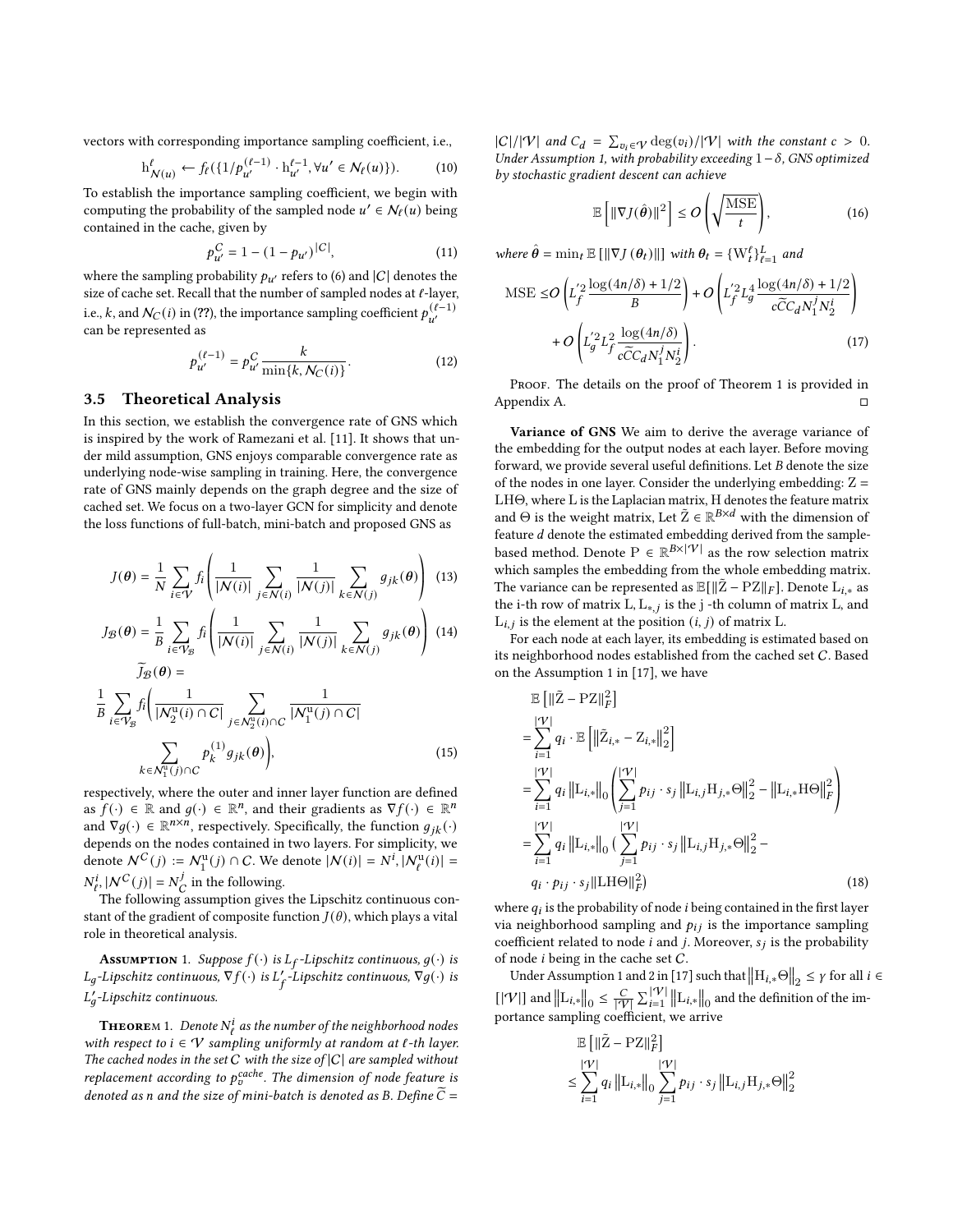vectors with corresponding importance sampling coefficient, i.e.,

$$
\mathbf{h}^{\ell}_{N(u)} \leftarrow f_{\ell}(\{1/p_{u'}^{(\ell-1)} \cdot \mathbf{h}_{u'}^{\ell-1}, \forall u' \in \mathcal{N}_{\ell}(u)\}).\tag{10}
$$

To establish the importance sampling coefficient, we begin with computing the probability of the sampled node  $u' \in N_f(u)$  being contained in the cache, given by

$$
p_{u'}^C = 1 - (1 - p_{u'})^{|C|}, \tag{11}
$$

where the sampling probability  $p_{u'}$  refers to [\(6\)](#page-4-3) and  $|C|$  denotes the size of cache set. Recall that the number of sampled nodes at  $\ell$ -layer, i.e., k, and  $\mathcal{N}_C(i)$  in (??), the importance sampling coefficient  $p_{u'}^{(\ell-1)}$ can be represented as

$$
p_{u'}^{(\ell-1)} = p_{u'}^C \frac{k}{\min\{k, \mathcal{N}_C(i)\}}.
$$
 (12)

#### <span id="page-5-0"></span>3.5 Theoretical Analysis

In this section, we establish the convergence rate of GNS which is inspired by the work of Ramezani et al. [\[11\]](#page-8-7). It shows that under mild assumption, GNS enjoys comparable convergence rate as underlying node-wise sampling in training. Here, the convergence rate of GNS mainly depends on the graph degree and the size of cached set. We focus on a two-layer GCN for simplicity and denote the loss functions of full-batch, mini-batch and proposed GNS as

$$
J(\boldsymbol{\theta}) = \frac{1}{N} \sum_{i \in \mathcal{V}} f_i \left( \frac{1}{|\mathcal{N}(i)|} \sum_{j \in \mathcal{N}(i)} \frac{1}{|\mathcal{N}(j)|} \sum_{k \in \mathcal{N}(j)} g_{jk}(\boldsymbol{\theta}) \right) (13)
$$

$$
J_{\mathcal{B}}(\theta) = \frac{1}{B} \sum_{i \in \mathcal{V}_{\mathcal{B}}} f_i \left( \frac{1}{|\mathcal{N}(i)|} \sum_{j \in \mathcal{N}(i)} \frac{1}{|\mathcal{N}(j)|} \sum_{k \in \mathcal{N}(j)} g_{jk}(\theta) \right) (14)
$$

$$
\widetilde{J}_{\mathcal{B}}(\theta) = \frac{1}{B} \sum_{i \in \mathcal{V}_{\mathcal{B}}} f_i \left( \frac{1}{|N_2^{\mathrm{u}}(i) \cap C|} \sum_{j \in N_2^{\mathrm{u}}(i) \cap C} \frac{1}{|N_1^{\mathrm{u}}(j) \cap C|} \right)
$$
\n
$$
\sum_{k \in N_1^{\mathrm{u}}(j) \cap C} p_k^{(1)} g_{jk}(\theta) \bigg), \tag{15}
$$

respectively, where the outer and inner layer function are defined as  $f(\cdot) \in \mathbb{R}$  and  $g(\cdot) \in \mathbb{R}^n$ , and their gradients as  $\nabla f(\cdot) \in \mathbb{R}^n$ and  $\nabla g(\cdot) \in \mathbb{R}^{n \times n}$ , respectively. Specifically, the function  $g_{ik}(\cdot)$ depends on the nodes contained in two layers. For simplicity, we denote  $N^C(j) := N_1^u(j) \cap C$ . We denote  $|N(i)| = N^i, |N_\ell^u(i)| =$  $N_{\ell}^{i}$ ,  $|N^{C}(j)| = N_{\ell}^{j}$  $\frac{d}{C}$  in the following.

The following assumption gives the Lipschitz continuous constant of the gradient of composite function  $J(\theta)$ , which plays a vital role in theoretical analysis.

<span id="page-5-1"></span>**Assumption** 1. Suppose  $f(\cdot)$  is  $L_f$ -Lipschitz continuous,  $g(\cdot)$  is  $L_g$ -Lipschitz continuous,  $\nabla f(\cdot)$  is  $L_f'$ -Lipschitz continuous,  $\nabla g(\cdot)$  is L'<sub>a</sub>-Lipschitz continuous.

<span id="page-5-2"></span>**THEORE**M 1. Denote  $N^i_\ell$  as the number of the neighborhood nodes with respect to  $i \in V$  sampling uniformly at random at  $\ell$ -th layer. The cached nodes in the set  $C$  with the size of  $|C|$  are sampled without replacement according to  $p_v^{cache}$ . The dimension of node feature is denoted as n and the size of mini-batch is denoted as B. Define  $\widetilde{C}$  =

 $|C|/|\mathcal{V}|$  and  $C_d = \sum_{v_i \in \mathcal{V}} \deg(v_i)/|\mathcal{V}|$  with the constant  $c > 0$ . Under Assumption [1,](#page-5-1) with probability exceeding  $1-\delta$ , GNS optimized by stochastic gradient descent can achieve

$$
\mathbb{E}\left[\|\nabla J(\hat{\boldsymbol{\theta}})\|^2\right] \le O\left(\sqrt{\frac{\text{MSE}}{t}}\right),\tag{16}
$$

where  $\hat{\theta} = \min_t \mathbb{E} [\|\nabla J(\theta_t)\|]$  with  $\theta_t = \{W_t^{\ell}\}_{\ell=1}^L$  and

$$
\text{MSE} \leq O\left(L_f'^2 \frac{\log(4n/\delta) + 1/2}{B}\right) + O\left(L_f'^2 L_g^4 \frac{\log(4n/\delta) + 1/2}{c\widetilde{C}C_d N_1^j N_2^i}\right) + O\left(L_g'^2 L_f^2 \frac{\log(4n/\delta)}{c\widetilde{C}C_d N_1^j N_2^i}\right). \tag{17}
$$

PROOF. The details on the proof of Theorem [1](#page-5-2) is provided in Appendix [A.](#page-9-0) □

Variance of GNS We aim to derive the average variance of the embedding for the output nodes at each layer. Before moving forward, we provide several useful definitions. Let  $B$  denote the size of the nodes in one layer. Consider the underlying embedding:  $Z =$ LHΘ, where L is the Laplacian matrix, H denotes the feature matrix and  $\Theta$  is the weight matrix, Let  $\tilde{Z} \in \mathbb{R}^{B \times d}$  with the dimension of feature  $d$  denote the estimated embedding derived from the samplebased method. Denote  $P \in \mathbb{R}^{B \times |\mathcal{V}|}$  as the row selection matrix which samples the embedding from the whole embedding matrix. The variance can be represented as  $\mathbb{E}[\|\tilde{Z} - PZ\|_F]$ . Denote  $L_{i,*}$  as the i-th row of matrix L,  $L_{*,j}$  is the j-th column of matrix L, and  $L_{i,j}$  is the element at the position  $(i, j)$  of matrix L.

For each node at each layer, its embedding is estimated based on its neighborhood nodes established from the cached set C. Based on the Assumption 1 in [\[17\]](#page-8-6), we have

$$
\mathbb{E} [ \|\tilde{Z} - PZ\|_F^2 ]
$$
\n
$$
= \sum_{i=1}^{|\mathcal{V}|} q_i \cdot \mathbb{E} [ \|\tilde{Z}_{i,*} - Z_{i,*}\|_2^2 ]
$$
\n
$$
= \sum_{i=1}^{|\mathcal{V}|} q_i \| \mathcal{L}_{i,*} \|_0 \left( \sum_{j=1}^{|\mathcal{V}|} p_{ij} \cdot s_j \| \mathcal{L}_{i,j} \mathcal{H}_{j,*} \Theta \|_2^2 - \| \mathcal{L}_{i,*} \mathcal{H} \Theta \|_F^2 \right)
$$
\n
$$
= \sum_{i=1}^{|\mathcal{V}|} q_i \| \mathcal{L}_{i,*} \|_0 \left( \sum_{j=1}^{|\mathcal{V}|} p_{ij} \cdot s_j \| \mathcal{L}_{i,j} \mathcal{H}_{j,*} \Theta \|_2^2 - q_i \cdot p_{ij} \cdot s_j \| \mathcal{H} \Theta \|_F^2 \right)
$$
\n(18)

where  $q_i$  is the probability of node *i* being contained in the first layer via neighborhood sampling and  $p_{ij}$  is the importance sampling coefficient related to node *i* and *j*. Moreover,  $s_i$  is the probability of node  $i$  being in the cache set  $C$ .

Under Assumption 1 and 2 in [\[17\]](#page-8-6) such that  $\left\| \mathbf{H}_{i,*} \Theta \right\|_2 \leq \gamma$  for all  $i \in$ [|V|] and  $||L_{i,*}||_0 \leq \frac{C}{\sqrt{3}}$  $\frac{C}{|\mathcal{V}|} \sum_{i=1}^{|\mathcal{V}|} \left\| \mathrm{L}_{i,*} \right\|_0$  and the definition of the importance sampling coefficient, we arrive

$$
\mathbb{E} \left[ \left\| \tilde{\mathbf{Z}} - \mathbf{P} \mathbf{Z} \right\|_F^2 \right]
$$
\n
$$
\leq \sum_{i=1}^{|\mathcal{V}|} q_i \left\| \mathbf{L}_{i,*} \right\|_0 \sum_{j=1}^{|\mathcal{V}|} p_{ij} \cdot s_j \left\| \mathbf{L}_{i,j} \mathbf{H}_{j,*} \Theta \right\|_2^2
$$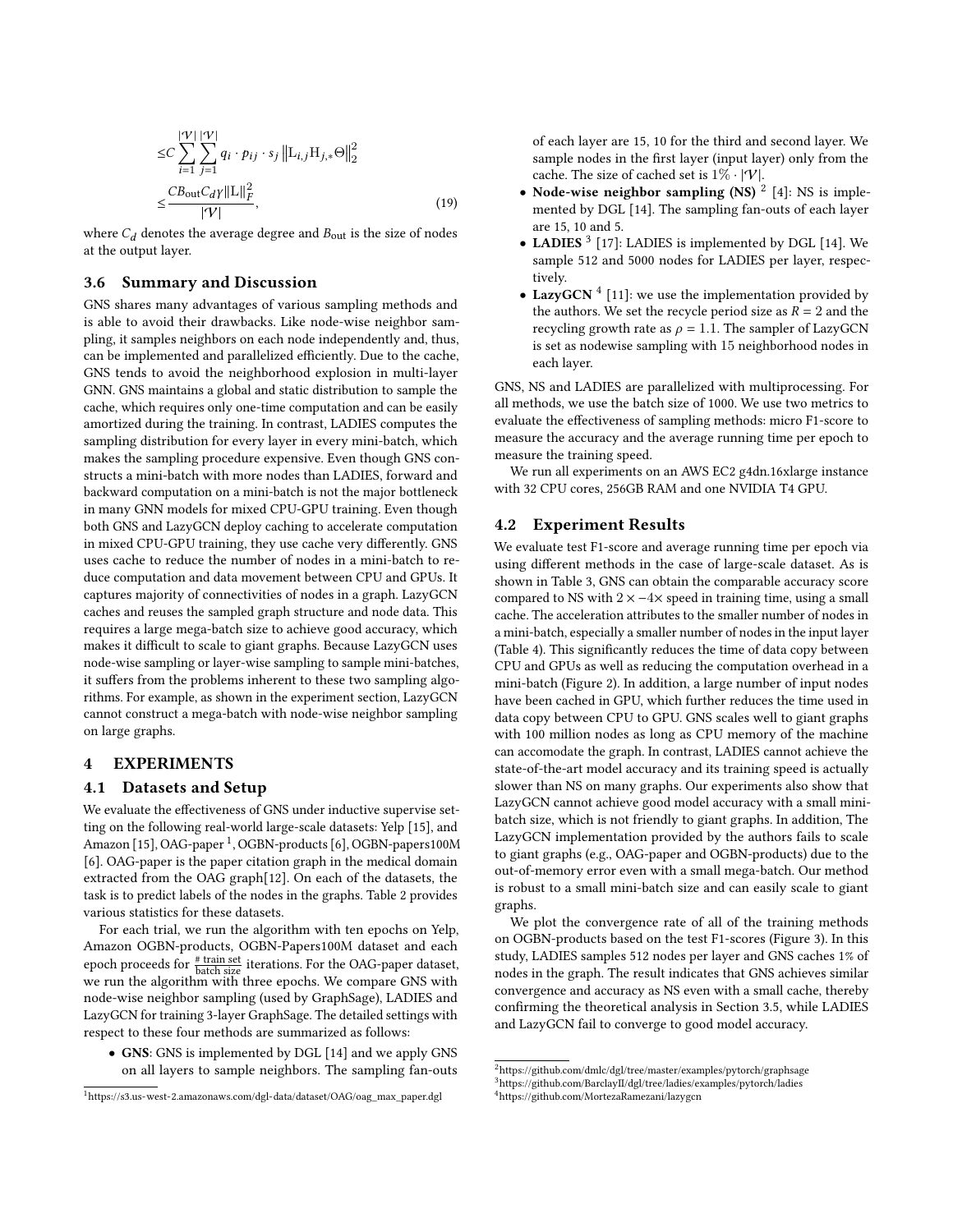$$
\leq C \sum_{i=1}^{|\mathcal{V}|} \sum_{j=1}^{|\mathcal{V}|} q_i \cdot p_{ij} \cdot s_j \left\| \mathcal{L}_{i,j} \mathcal{H}_{j,*} \Theta \right\|_2^2
$$

$$
\leq \frac{CB_{\text{out}} C_d \gamma \|\mathcal{L}\|_F^2}{|\mathcal{V}|}, \tag{19}
$$

where  $C_d$  denotes the average degree and  $B_{\text{out}}$  is the size of nodes at the output layer.

## 3.6 Summary and Discussion

GNS shares many advantages of various sampling methods and is able to avoid their drawbacks. Like node-wise neighbor sampling, it samples neighbors on each node independently and, thus, can be implemented and parallelized efficiently. Due to the cache, GNS tends to avoid the neighborhood explosion in multi-layer GNN. GNS maintains a global and static distribution to sample the cache, which requires only one-time computation and can be easily amortized during the training. In contrast, LADIES computes the sampling distribution for every layer in every mini-batch, which makes the sampling procedure expensive. Even though GNS constructs a mini-batch with more nodes than LADIES, forward and backward computation on a mini-batch is not the major bottleneck in many GNN models for mixed CPU-GPU training. Even though both GNS and LazyGCN deploy caching to accelerate computation in mixed CPU-GPU training, they use cache very differently. GNS uses cache to reduce the number of nodes in a mini-batch to reduce computation and data movement between CPU and GPUs. It captures majority of connectivities of nodes in a graph. LazyGCN caches and reuses the sampled graph structure and node data. This requires a large mega-batch size to achieve good accuracy, which makes it difficult to scale to giant graphs. Because LazyGCN uses node-wise sampling or layer-wise sampling to sample mini-batches, it suffers from the problems inherent to these two sampling algorithms. For example, as shown in the experiment section, LazyGCN cannot construct a mega-batch with node-wise neighbor sampling on large graphs.

### <span id="page-6-0"></span>4 EXPERIMENTS

#### 4.1 Datasets and Setup

We evaluate the effectiveness of GNS under inductive supervise setting on the following real-world large-scale datasets: Yelp [\[15\]](#page-8-5), and Amazon [\[15\]](#page-8-5), OAG-paper<sup>[1](#page-6-1)</sup>, OGBN-products [\[6\]](#page-8-15), OGBN-papers100M [\[6\]](#page-8-15). OAG-paper is the paper citation graph in the medical domain extracted from the OAG graph[\[12\]](#page-8-16). On each of the datasets, the task is to predict labels of the nodes in the graphs. Table [2](#page-7-1) provides various statistics for these datasets.

For each trial, we run the algorithm with ten epochs on Yelp, Amazon OGBN-products, OGBN-Papers100M dataset and each epoch proceeds for  $\frac{\text{# train set}}{\text{batch size}}$  iterations. For the OAG-paper dataset, we run the algorithm with three epochs. We compare GNS with node-wise neighbor sampling (used by GraphSage), LADIES and LazyGCN for training 3-layer GraphSage. The detailed settings with respect to these four methods are summarized as follows:

• GNS: GNS is implemented by DGL [\[14\]](#page-8-9) and we apply GNS on all layers to sample neighbors. The sampling fan-outs

<span id="page-6-1"></span><sup>1</sup>[https://s3.us-west-2.amazonaws.com/dgl-data/dataset/OAG/oag\\_max\\_paper.dgl](https://s3.us-west-2.amazonaws.com/dgl-data/dataset/OAG/oag_max_paper.dgl)

of each layer are 15, 10 for the third and second layer. We sample nodes in the first layer (input layer) only from the cache. The size of cached set is  $1\% \cdot |\mathcal{V}|$ .

- Node-wise neighbor sampling  $(NS)^2$  $(NS)^2$  [\[4\]](#page-8-0): NS is implemented by DGL [\[14\]](#page-8-9). The sampling fan-outs of each layer are 15, 10 and 5.
- LADIES<sup>[3](#page-6-3)</sup> [\[17\]](#page-8-6): LADIES is implemented by DGL [\[14\]](#page-8-9). We sample 512 and 5000 nodes for LADIES per layer, respectively.
- LazyGCN<sup>[4](#page-6-4)</sup> [\[11\]](#page-8-7): we use the implementation provided by the authors. We set the recycle period size as  $R = 2$  and the recycling growth rate as  $\rho = 1.1$ . The sampler of LazyGCN is set as nodewise sampling with 15 neighborhood nodes in each layer.

GNS, NS and LADIES are parallelized with multiprocessing. For all methods, we use the batch size of 1000. We use two metrics to evaluate the effectiveness of sampling methods: micro F1-score to measure the accuracy and the average running time per epoch to measure the training speed.

We run all experiments on an AWS EC2 g4dn.16xlarge instance with 32 CPU cores, 256GB RAM and one NVIDIA T4 GPU.

#### 4.2 Experiment Results

We evaluate test F1-score and average running time per epoch via using different methods in the case of large-scale dataset. As is shown in Table [3,](#page-7-2) GNS can obtain the comparable accuracy score compared to NS with  $2 \times -4 \times$  speed in training time, using a small cache. The acceleration attributes to the smaller number of nodes in a mini-batch, especially a smaller number of nodes in the input layer (Table [4\)](#page-7-3). This significantly reduces the time of data copy between CPU and GPUs as well as reducing the computation overhead in a mini-batch (Figure [2\)](#page-7-4). In addition, a large number of input nodes have been cached in GPU, which further reduces the time used in data copy between CPU to GPU. GNS scales well to giant graphs with 100 million nodes as long as CPU memory of the machine can accomodate the graph. In contrast, LADIES cannot achieve the state-of-the-art model accuracy and its training speed is actually slower than NS on many graphs. Our experiments also show that LazyGCN cannot achieve good model accuracy with a small minibatch size, which is not friendly to giant graphs. In addition, The LazyGCN implementation provided by the authors fails to scale to giant graphs (e.g., OAG-paper and OGBN-products) due to the out-of-memory error even with a small mega-batch. Our method is robust to a small mini-batch size and can easily scale to giant graphs.

We plot the convergence rate of all of the training methods on OGBN-products based on the test F1-scores (Figure [3\)](#page-8-17). In this study, LADIES samples 512 nodes per layer and GNS caches 1% of nodes in the graph. The result indicates that GNS achieves similar convergence and accuracy as NS even with a small cache, thereby confirming the theoretical analysis in Section [3.5,](#page-5-0) while LADIES and LazyGCN fail to converge to good model accuracy.

<span id="page-6-3"></span><span id="page-6-2"></span> $^{2}$ <https://github.com/dmlc/dgl/tree/master/examples/pytorch/graphsage> <sup>3</sup><https://github.com/BarclayII/dgl/tree/ladies/examples/pytorch/ladies>

<span id="page-6-4"></span><sup>4</sup><https://github.com/MortezaRamezani/lazygcn>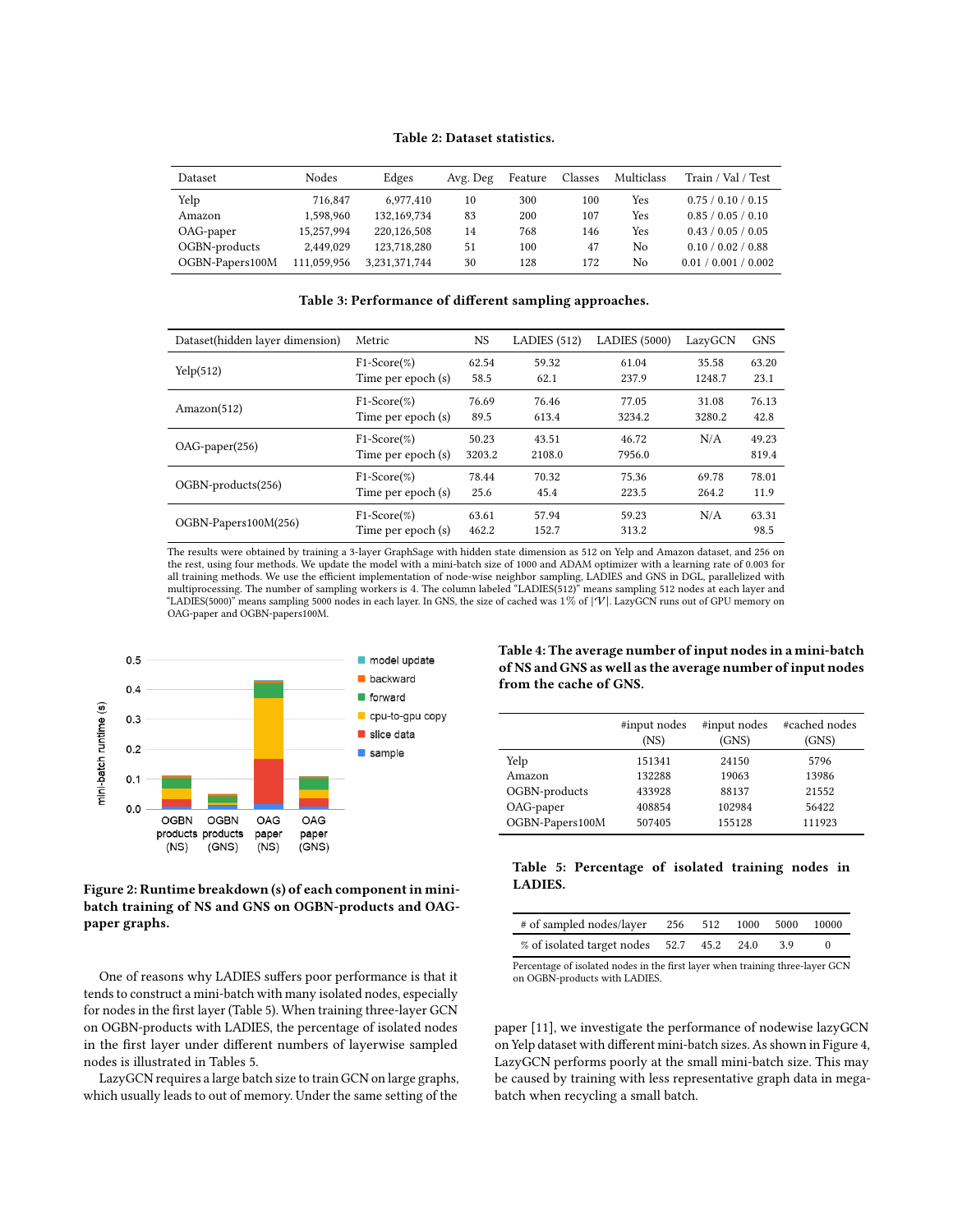#### Table 2: Dataset statistics.

<span id="page-7-1"></span>

| Dataset         | <b>Nodes</b> | Edges         | Avg. Deg | Feature | Classes | Multiclass | Train / Val / Test   |
|-----------------|--------------|---------------|----------|---------|---------|------------|----------------------|
| Yelp            | 716,847      | 6.977.410     | 10       | 300     | 100     | Yes        | 0.75 / 0.10 / 0.15   |
| Amazon          | 1.598.960    | 132,169,734   | 83       | 200     | 107     | Yes        | 0.85 / 0.05 / 0.10   |
| OAG-paper       | 15.257.994   | 220,126,508   | 14       | 768     | 146     | Yes        | 0.43 / 0.05 / 0.05   |
| OGBN-products   | 2.449.029    | 123,718,280   | 51       | 100     | 47      | No         | 0.10 / 0.02 / 0.88   |
| OGBN-Papers100M | 111,059,956  | 3,231,371,744 | 30       | 128     | 172     | No         | 0.01 / 0.001 / 0.002 |

#### Table 3: Performance of different sampling approaches.

<span id="page-7-2"></span>

| Dataset(hidden layer dimension) | Metric             | <b>NS</b> | LADIES $(512)$ | <b>LADIES</b> (5000) | LazyGCN | <b>GNS</b> |
|---------------------------------|--------------------|-----------|----------------|----------------------|---------|------------|
| Yelp(512)                       | $F1-Score(\%)$     | 62.54     | 59.32          | 61.04                | 35.58   | 63.20      |
|                                 | Time per epoch (s) | 58.5      | 62.1           | 237.9                | 1248.7  | 23.1       |
| Amazon(512)                     | $F1-Score(\%)$     | 76.69     | 76.46          | 77.05                | 31.08   | 76.13      |
|                                 | Time per epoch (s) | 89.5      | 613.4          | 3234.2               | 3280.2  | 42.8       |
|                                 | $F1-Score(\%)$     | 50.23     | 43.51          | 46.72                | N/A     | 49.23      |
| $OAG$ -paper $(256)$            | Time per epoch (s) | 3203.2    | 2108.0         | 7956.0               |         | 819.4      |
| OGBN-products(256)              | $F1-Score(\%)$     | 78.44     | 70.32          | 75.36                | 69.78   | 78.01      |
|                                 | Time per epoch (s) | 25.6      | 45.4           | 223.5                | 264.2   | 11.9       |
| OGBN-Papers100M(256)            | $F1-Score(\%)$     | 63.61     | 57.94          | 59.23                | N/A     | 63.31      |
|                                 | Time per epoch (s) | 462.2     | 152.7          | 313.2                |         | 98.5       |

The results were obtained by training a 3-layer GraphSage with hidden state dimension as 512 on Yelp and Amazon dataset, and 256 on the rest, using four methods. We update the model with a mini-batch size of 1000 and ADAM optimizer with a learning rate of 0.003 for all training methods. We use the efficient implementation of node-wise neighbor sampling, LADIES and GNS in DGL, parallelized with multiprocessing. The number of sampling workers is 4. The column labeled "LADIES(512)" means sampling 512 nodes at each layer and "LADIES(5000)" means sampling 5000 nodes in each layer. In GNS, the size of cached was  $1\%$  of  $|\mathcal{V}|$ . LazyGCN runs out of GPU memory on OAG-paper and OGBN-papers100M.

<span id="page-7-4"></span>

## Figure 2: Runtime breakdown (s) of each component in minibatch training of NS and GNS on OGBN-products and OAGpaper graphs.

One of reasons why LADIES suffers poor performance is that it tends to construct a mini-batch with many isolated nodes, especially for nodes in the first layer (Table [5\)](#page-7-0). When training three-layer GCN on OGBN-products with LADIES, the percentage of isolated nodes in the first layer under different numbers of layerwise sampled nodes is illustrated in Tables [5.](#page-7-0)

LazyGCN requires a large batch size to train GCN on large graphs, which usually leads to out of memory. Under the same setting of the

<span id="page-7-3"></span>Table 4: The average number of input nodes in a mini-batch of NS and GNS as well as the average number of input nodes from the cache of GNS.

|                 | #input nodes<br>(NS) | #input nodes<br>(GNS) | #cached nodes<br>(GNS) |
|-----------------|----------------------|-----------------------|------------------------|
| Yelp            | 151341               | 24150                 | 5796                   |
| Amazon          | 132288               | 19063                 | 13986                  |
| OGBN-products   | 433928               | 88137                 | 21552                  |
| OAG-paper       | 408854               | 102984                | 56422                  |
| OGBN-Papers100M | 507405               | 155128                | 111923                 |

#### <span id="page-7-0"></span>Table 5: Percentage of isolated training nodes in LADIES.

| # of sampled nodes/layer                  |  | 256 512 1000 5000 |     | 10000 |
|-------------------------------------------|--|-------------------|-----|-------|
| % of isolated target nodes 52.7 45.2 24.0 |  |                   | -39 |       |

Percentage of isolated nodes in the first layer when training three-layer GCN on OGBN-products with LADIES.

paper [\[11\]](#page-8-7), we investigate the performance of nodewise lazyGCN on Yelp dataset with different mini-batch sizes. As shown in Figure [4,](#page-8-8) LazyGCN performs poorly at the small mini-batch size. This may be caused by training with less representative graph data in megabatch when recycling a small batch.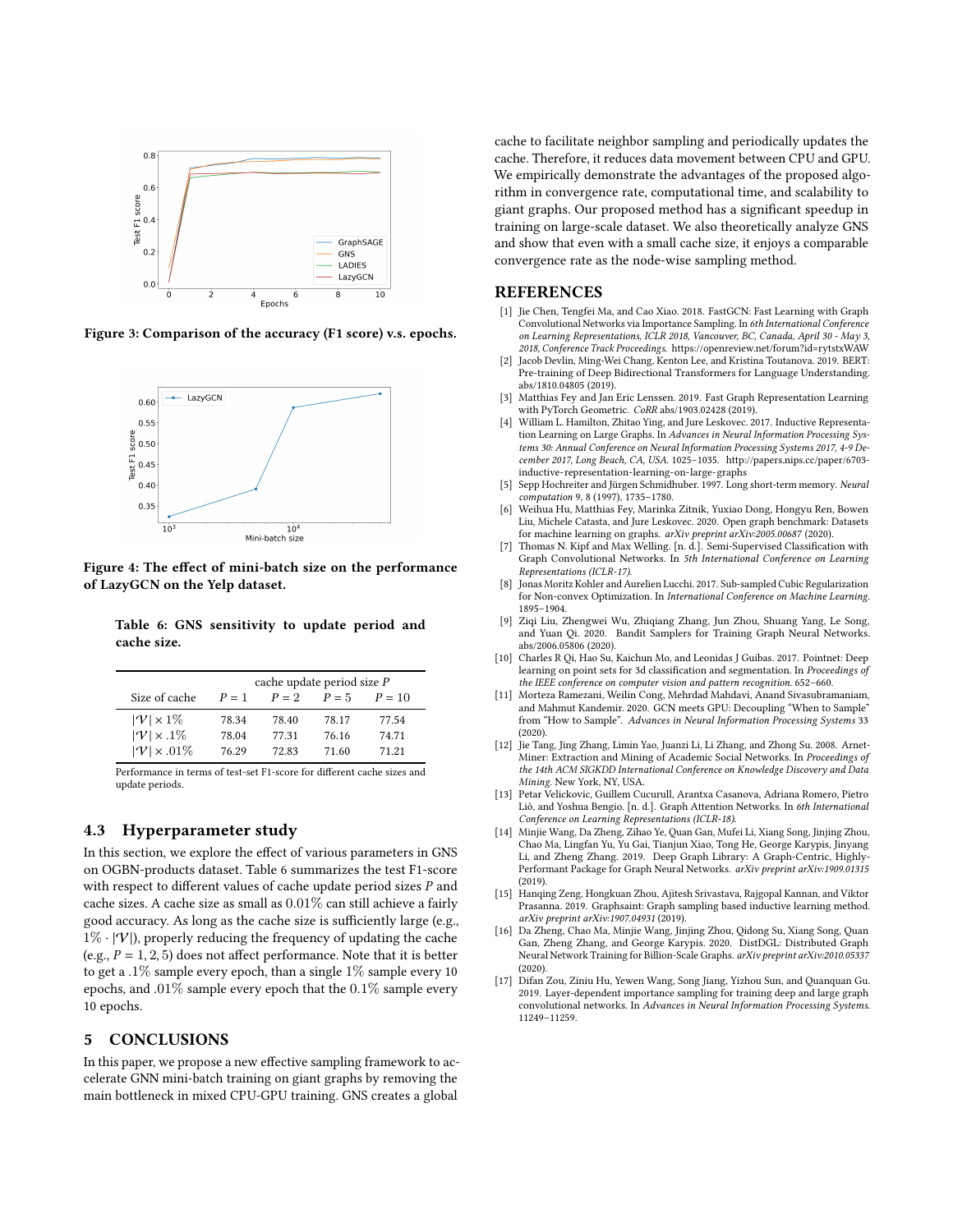<span id="page-8-17"></span>

<span id="page-8-8"></span>Figure 3: Comparison of the accuracy (F1 score) v.s. epochs.



Figure 4: The effect of mini-batch size on the performance of LazyGCN on the Yelp dataset.

<span id="page-8-18"></span>Table 6: GNS sensitivity to update period and cache size.

| Size of cache                                            | cache update period size P<br>$P = 5$<br>$P = 2$<br>$P=1$<br>$P = 10$ |                |                |                |  |  |  |
|----------------------------------------------------------|-----------------------------------------------------------------------|----------------|----------------|----------------|--|--|--|
| $ \mathcal{V}  \times 1\%$<br>$ \mathcal{V}  \times 1\%$ | 78.34<br>78.04                                                        | 78.40<br>77.31 | 78.17<br>76.16 | 77.54<br>74.71 |  |  |  |
| $ \mathcal{V}  \times .01\%$                             | 76.29                                                                 | 72.83          | 71.60          | 71.21          |  |  |  |

Performance in terms of test-set F1-score for different cache sizes and update periods.

## 4.3 Hyperparameter study

In this section, we explore the effect of various parameters in GNS on OGBN-products dataset. Table [6](#page-8-18) summarizes the test F1-score with respect to different values of cache update period sizes  $P$  and cache sizes. A cache size as small as 0.01% can still achieve a fairly good accuracy. As long as the cache size is sufficiently large (e.g.,  $1\% \cdot |\mathcal{V}|$ , properly reducing the frequency of updating the cache (e.g.,  $P = 1, 2, 5$ ) does not affect performance. Note that it is better to get a .1% sample every epoch, than a single 1% sample every 10 epochs, and .01% sample every epoch that the 0.1% sample every 10 epochs.

## 5 CONCLUSIONS

In this paper, we propose a new effective sampling framework to accelerate GNN mini-batch training on giant graphs by removing the main bottleneck in mixed CPU-GPU training. GNS creates a global

cache to facilitate neighbor sampling and periodically updates the cache. Therefore, it reduces data movement between CPU and GPU. We empirically demonstrate the advantages of the proposed algorithm in convergence rate, computational time, and scalability to giant graphs. Our proposed method has a significant speedup in training on large-scale dataset. We also theoretically analyze GNS and show that even with a small cache size, it enjoys a comparable convergence rate as the node-wise sampling method.

## REFERENCES

- <span id="page-8-3"></span>[1] Jie Chen, Tengfei Ma, and Cao Xiao. 2018. FastGCN: Fast Learning with Graph Convolutional Networks via Importance Sampling. In 6th International Conference on Learning Representations, ICLR 2018, Vancouver, BC, Canada, April 30 - May 3, 2018, Conference Track Proceedings.<https://openreview.net/forum?id=rytstxWAW>
- <span id="page-8-14"></span>[2] Jacob Devlin, Ming-Wei Chang, Kenton Lee, and Kristina Toutanova. 2019. BERT: Pre-training of Deep Bidirectional Transformers for Language Understanding. abs/1810.04805 (2019).
- <span id="page-8-10"></span>[3] Matthias Fey and Jan Eric Lenssen. 2019. Fast Graph Representation Learning with PyTorch Geometric. CoRR abs/1903.02428 (2019).
- <span id="page-8-0"></span>[4] William L. Hamilton, Zhitao Ying, and Jure Leskovec. 2017. Inductive Representation Learning on Large Graphs. In Advances in Neural Information Processing Systems 30: Annual Conference on Neural Information Processing Systems 2017, 4-9 December 2017, Long Beach, CA, USA. 1025–1035. [http://papers.nips.cc/paper/6703](http://papers.nips.cc/paper/6703-inductive-representation-learning-on-large-graphs) [inductive-representation-learning-on-large-graphs](http://papers.nips.cc/paper/6703-inductive-representation-learning-on-large-graphs)
- <span id="page-8-11"></span>Sepp Hochreiter and Jürgen Schmidhuber. 1997. Long short-term memory. Neural computation 9, 8 (1997), 1735–1780.
- <span id="page-8-15"></span>[6] Weihua Hu, Matthias Fey, Marinka Zitnik, Yuxiao Dong, Hongyu Ren, Bowen Liu, Michele Catasta, and Jure Leskovec. 2020. Open graph benchmark: Datasets for machine learning on graphs. arXiv preprint arXiv:2005.00687 (2020).
- <span id="page-8-1"></span>[7] Thomas N. Kipf and Max Welling. [n. d.]. Semi-Supervised Classification with Graph Convolutional Networks. In 5th International Conference on Learning Representations (ICLR-17).
- <span id="page-8-19"></span>[8] Jonas Moritz Kohler and Aurelien Lucchi. 2017. Sub-sampled Cubic Regularization for Non-convex Optimization. In International Conference on Machine Learning. 1895–1904.
- <span id="page-8-4"></span>[9] Ziqi Liu, Zhengwei Wu, Zhiqiang Zhang, Jun Zhou, Shuang Yang, Le Song, and Yuan Qi. 2020. Bandit Samplers for Training Graph Neural Networks. abs/2006.05806 (2020).
- <span id="page-8-12"></span>[10] Charles R Oi, Hao Su, Kaichun Mo, and Leonidas J Guibas, 2017. Pointnet: Deep learning on point sets for 3d classification and segmentation. In Proceedings of the IEEE conference on computer vision and pattern recognition. 652–660.
- <span id="page-8-7"></span>[11] Morteza Ramezani, Weilin Cong, Mehrdad Mahdavi, Anand Sivasubramaniam, and Mahmut Kandemir. 2020. GCN meets GPU: Decoupling "When to Sample" from "How to Sample". Advances in Neural Information Processing Systems 33 (2020).
- <span id="page-8-16"></span>[12] Jie Tang, Jing Zhang, Limin Yao, Juanzi Li, Li Zhang, and Zhong Su. 2008. Arnet-Miner: Extraction and Mining of Academic Social Networks. In Proceedings of the 14th ACM SIGKDD International Conference on Knowledge Discovery and Data Mining. New York, NY, USA.
- <span id="page-8-2"></span>[13] Petar Velickovic, Guillem Cucurull, Arantxa Casanova, Adriana Romero, Pietro Liò, and Yoshua Bengio. [n. d.]. Graph Attention Networks. In 6th International Conference on Learning Representations (ICLR-18).
- <span id="page-8-9"></span>[14] Minjie Wang, Da Zheng, Zihao Ye, Quan Gan, Mufei Li, Xiang Song, Jinjing Zhou, Chao Ma, Lingfan Yu, Yu Gai, Tianjun Xiao, Tong He, George Karypis, Jinyang Li, and Zheng Zhang. 2019. Deep Graph Library: A Graph-Centric, Highly-Performant Package for Graph Neural Networks. arXiv preprint arXiv:1909.01315 (2019).
- <span id="page-8-5"></span>[15] Hanqing Zeng, Hongkuan Zhou, Ajitesh Srivastava, Rajgopal Kannan, and Viktor Prasanna. 2019. Graphsaint: Graph sampling based inductive learning method. arXiv preprint arXiv:1907.04931 (2019).
- <span id="page-8-13"></span>[16] Da Zheng, Chao Ma, Minjie Wang, Jinjing Zhou, Qidong Su, Xiang Song, Quan Gan, Zheng Zhang, and George Karypis. 2020. DistDGL: Distributed Graph Neural Network Training for Billion-Scale Graphs. arXiv preprint arXiv:2010.05337 (2020).
- <span id="page-8-6"></span>[17] Difan Zou, Ziniu Hu, Yewen Wang, Song Jiang, Yizhou Sun, and Quanquan Gu. 2019. Layer-dependent importance sampling for training deep and large graph convolutional networks. In Advances in Neural Information Processing Systems. 11249–11259.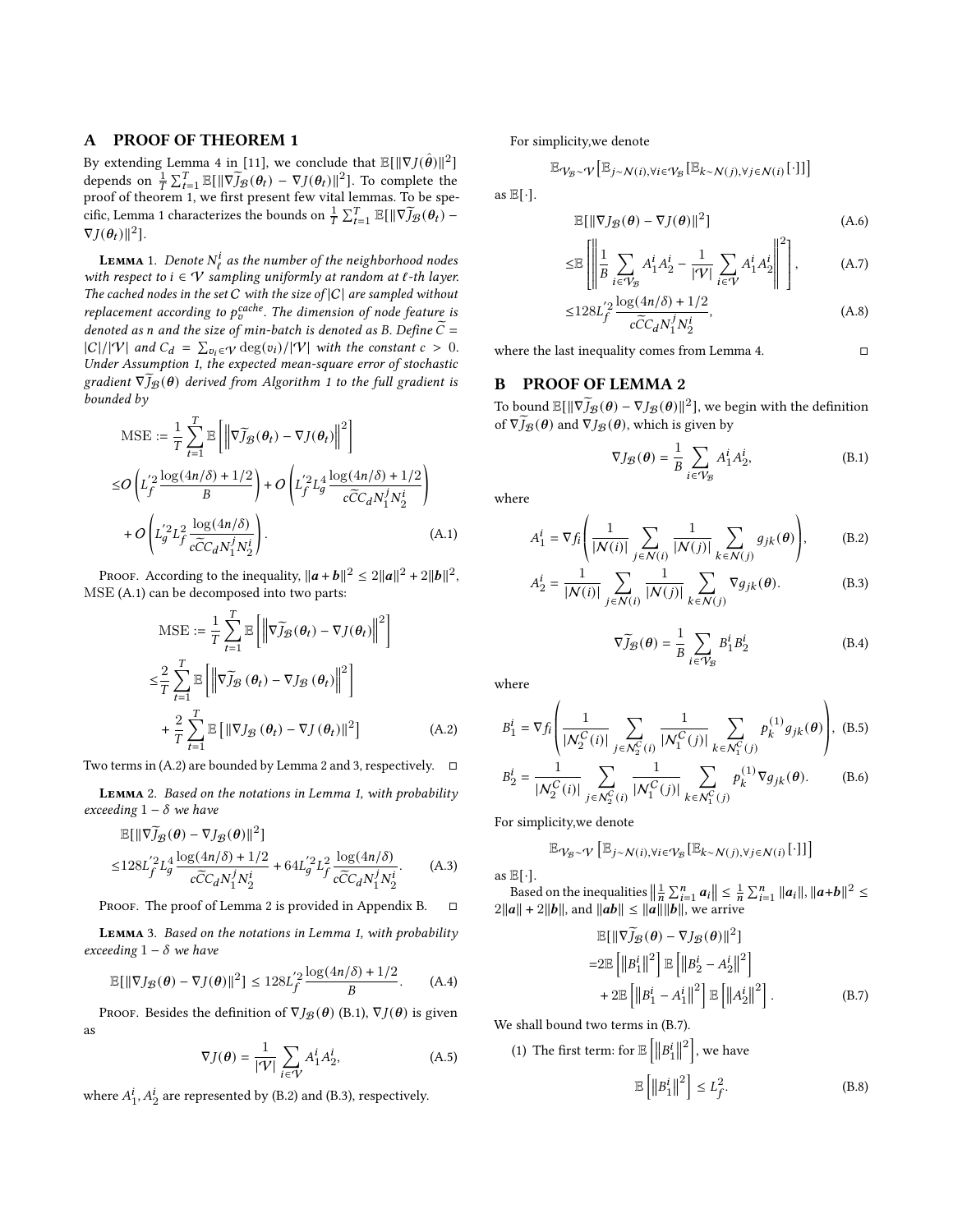## <span id="page-9-0"></span>A PROOF OF THEOREM 1

By extending Lemma 4 in [\[11\]](#page-8-7), we conclude that  $\mathbb{E}[\|\nabla J(\hat{\bm{\theta}})\|^2]$ depends on  $\frac{1}{T} \sum_{t=1}^T \mathbb{E}[\|\nabla \widetilde{J}_{\mathcal{B}}(\theta_t) - \nabla J(\theta_t)\|^2]$ . To complete the proof of theorem [1,](#page-5-2) we first present few vital lemmas. To be spe-cific, Lemma [1](#page-9-1) characterizes the bounds on  $\frac{1}{T} \sum_{t=1}^{T} \mathbb{E}[\|\nabla \widetilde{J}_{\mathcal{B}}(\theta_t) \nabla J(\boldsymbol{\theta}_t)$ ||<sup>2</sup>].

<span id="page-9-1"></span>**LEMMA** 1. Denote  $N^i_\ell$  as the number of the neighborhood nodes with respect to  $i \in V$  sampling uniformly at random at  $\ell$ -th layer. The cached nodes in the set  $C$  with the size of  $|C|$  are sampled without replacement according to  $p_v^{cache}$ . The dimension of node feature is denoted as n and the size of min-batch is denoted as B. Define  $\tilde{C}$  =  $|C|/|\mathcal{V}|$  and  $C_d = \sum_{v_i \in \mathcal{V}} \deg(v_i)/|\mathcal{V}|$  with the constant  $c > 0$ . Under Assumption [1,](#page-5-1) the expected mean-square error of stochastic gradient  $\nabla \widetilde{J}_{\mathcal{B}}(\theta)$  derived from Algorithm [1](#page-3-1) to the full gradient is bounded by

$$
\begin{split} \text{MSE} &:= \frac{1}{T} \sum_{t=1}^{T} \mathbb{E} \left[ \left\| \nabla \widetilde{J}_{\mathcal{B}}(\theta_{t}) - \nabla J(\theta_{t}) \right\|^{2} \right] \\ \leq & O\left( L_{f}^{'2} \frac{\log(4n/\delta) + 1/2}{B} \right) + O\left( L_{f}^{'2} L_{g}^{4} \frac{\log(4n/\delta) + 1/2}{c\widetilde{C}C_{d}N_{1}^{j}N_{2}^{i}} \right) \\ & + O\left( L_{g}^{'2} L_{f}^{2} \frac{\log(4n/\delta)}{c\widetilde{C}C_{d}N_{1}^{j}N_{2}^{i}} \right). \end{split} \tag{A.1}
$$

Proof. According to the inequality,  $\|\boldsymbol{a}+\boldsymbol{b}\|^2 \leq 2\|\boldsymbol{a}\|^2 + 2\|\boldsymbol{b}\|^2$ , MSE [\(A.1\)](#page-9-2) can be decomposed into two parts:

$$
\text{MSE} := \frac{1}{T} \sum_{t=1}^{T} \mathbb{E} \left[ \left\| \nabla \widetilde{J}_{\mathcal{B}}(\theta_t) - \nabla J(\theta_t) \right\|^2 \right]
$$
  

$$
\leq \frac{2}{T} \sum_{t=1}^{T} \mathbb{E} \left[ \left\| \nabla \widetilde{J}_{\mathcal{B}}(\theta_t) - \nabla J_{\mathcal{B}}(\theta_t) \right\|^2 \right]
$$
  

$$
+ \frac{2}{T} \sum_{t=1}^{T} \mathbb{E} \left[ \left\| \nabla J_{\mathcal{B}}(\theta_t) - \nabla J(\theta_t) \right\|^2 \right] \tag{A.2}
$$

Two terms in [\(A.2\)](#page-9-3) are bounded by Lemma [2](#page-9-4) and [3,](#page-9-5) respectively.  $\square$ 

<span id="page-9-4"></span>Lemma 2. Based on the notations in Lemma [1,](#page-9-1) with probability exceeding  $1 - \delta$  we have

$$
\mathbb{E}[\|\nabla \widetilde{J}_{\mathcal{B}}(\theta) - \nabla J_{\mathcal{B}}(\theta)\|^2] \le 128L_f^{'2}L_g^4 \frac{\log(4n/\delta) + 1/2}{c\widetilde{C}C_dN_1^jN_2^i} + 64L_g^{'2}L_f^2 \frac{\log(4n/\delta)}{c\widetilde{C}C_dN_1^jN_2^i}.
$$
 (A.3)

PROOF. The proof of Lemma [2](#page-9-4) is provided in Appendix [B.](#page-9-6)  $\Box$ 

<span id="page-9-5"></span>Lemma 3. Based on the notations in Lemma [1,](#page-9-1) with probability exceeding  $1 - \delta$  we have

$$
\mathbb{E}[\|\nabla J_{\mathcal{B}}(\boldsymbol{\theta}) - \nabla J(\boldsymbol{\theta})\|^2] \le 128L_f'^2 \frac{\log(4n/\delta) + 1/2}{B}.\tag{A.4}
$$

PROOF. Besides the definition of  $\nabla J_{\mathcal{B}}(\theta)$  [\(B.1\)](#page-9-7),  $\nabla J(\theta)$  is given as

$$
\nabla J(\boldsymbol{\theta}) = \frac{1}{|\mathcal{V}|} \sum_{i \in \mathcal{V}} A_1^i A_2^i,
$$
 (A.5)

where  $A_1^i, A_2^i$  are represented by [\(B.2\)](#page-9-8) and [\(B.3\)](#page-9-9), respectively.

For simplicity,we denote

$$
\mathbb{E}_{\mathcal{V}_{\mathcal{B}} \sim \mathcal{V}} \big[ \mathbb{E}_{j \sim \mathcal{N}(i), \forall i \in \mathcal{V}_{\mathcal{B}}} [\mathbb{E}_{k \sim \mathcal{N}(j), \forall j \in \mathcal{N}(i)}[\cdot] ] \big]
$$

as  $\mathbb{E}[\cdot]$ .

$$
\mathbb{E}[\|\nabla J_{\mathcal{B}}(\boldsymbol{\theta}) - \nabla J(\boldsymbol{\theta})\|^2] \tag{A.6}
$$

$$
\leq \mathbb{E}\left[\left\|\frac{1}{B}\sum_{i\in\mathcal{V}_{\mathcal{B}}}A_1^i A_2^i - \frac{1}{|\mathcal{V}|}\sum_{i\in\mathcal{V}}A_1^i A_2^i\right\|^2\right],\tag{A.7}
$$

$$
\leq 128L_f^{'2} \frac{\log(4n/\delta) + 1/2}{c\tilde{C}C_d N_1^j N_2^i},
$$
 (A.8)

where the last inequality comes from Lemma [4.](#page-10-1)  $□$ 

## <span id="page-9-6"></span>B PROOF OF LEMMA [2](#page-9-4)

To bound  $\mathbb{E}[\|\nabla \widetilde{J}_{\mathcal{B}}(\theta) - \nabla J_{\mathcal{B}}(\theta)\|^2]$ , we begin with the definition of  $\nabla \overline{J}_{\mathcal{B}}(\theta)$  and  $\nabla J_{\mathcal{B}}(\theta)$ , which is given by

<span id="page-9-8"></span><span id="page-9-7"></span>
$$
\nabla J_{\mathcal{B}}(\boldsymbol{\theta}) = \frac{1}{B} \sum_{i \in \mathcal{V}_{\mathcal{B}}} A_1^i A_2^i, \tag{B.1}
$$

<span id="page-9-2"></span>where

$$
A_1^i = \nabla f_i \left( \frac{1}{|N(i)|} \sum_{j \in N(i)} \frac{1}{|N(j)|} \sum_{k \in N(j)} g_{jk}(\theta) \right),
$$
 (B.2)

$$
A_2^i = \frac{1}{|N(i)|} \sum_{j \in N(i)} \frac{1}{|N(j)|} \sum_{k \in N(j)} \nabla g_{jk}(\boldsymbol{\theta}).
$$
 (B.3)

<span id="page-9-9"></span>
$$
\nabla \widetilde{J}_{\mathcal{B}}(\boldsymbol{\theta}) = \frac{1}{B} \sum_{i \in \mathcal{V}_{\mathcal{B}}} B_1^i B_2^i \tag{B.4}
$$

<span id="page-9-3"></span>where

$$
B_1^i = \nabla f_i \left( \frac{1}{|N_2^C(i)|} \sum_{j \in N_2^C(i)} \frac{1}{|N_1^C(j)|} \sum_{k \in N_1^C(j)} p_k^{(1)} g_{jk}(\theta) \right), \quad (B.5)
$$

$$
B_2^i = \frac{1}{|N_2^C(i)|} \sum_{j \in N_2^C(i)} \frac{1}{|N_1^C(j)|} \sum_{k \in N_1^C(j)} p_k^{(1)} \nabla g_{jk}(\theta). \tag{B.6}
$$

For simplicity,we denote

$$
\mathbb{E}\gamma_{\mathcal{B}}\text{-}\mathrm{v}\left[\mathbb{E}_{j\sim\mathcal{N}(i),\forall i\in\mathcal{V}_{\mathcal{B}}}[\mathbb{E}_{k\sim\mathcal{N}(j),\forall j\in\mathcal{N}(i)}\text{[\cdot]}\text{]} \right]
$$

as  $\mathbb{E}[\cdot]$ .

Based on the inequalities  $\left\| \frac{1}{n} \sum_{i=1}^{n} a_i \right\| \leq \frac{1}{n} \sum_{i=1}^{n} \|a_i\|, \|a+b\|^2 \leq$  $2||a|| + 2||b||$ , and  $||ab|| \le ||a|| ||b||$ , we arrive

$$
\mathbb{E}[\|\nabla \widetilde{J}_{\mathcal{B}}(\boldsymbol{\theta}) - \nabla J_{\mathcal{B}}(\boldsymbol{\theta})\|^2]
$$
  
=2\mathbb{E}\left[\left\|B\_1^i\right\|^2\right] \mathbb{E}\left[\left\|B\_2^i - A\_2^i\right\|^2\right]   
+ 2\mathbb{E}\left[\left\|B\_1^i - A\_1^i\right\|^2\right] \mathbb{E}\left[\left\|A\_2^i\right\|^2\right]. \tag{B.7}

We shall bound two terms in [\(B.7\)](#page-9-10).

(1) The first term: for  $\mathbb{E}\left[ \left\| \mathcal{B}_{1}^{i} \right\|^{2} \right]$ , we have

<span id="page-9-11"></span><span id="page-9-10"></span>
$$
\mathbb{E}\left[\left\|B_{1}^{i}\right\|^{2}\right] \le L_{f}^{2}.\tag{B.8}
$$